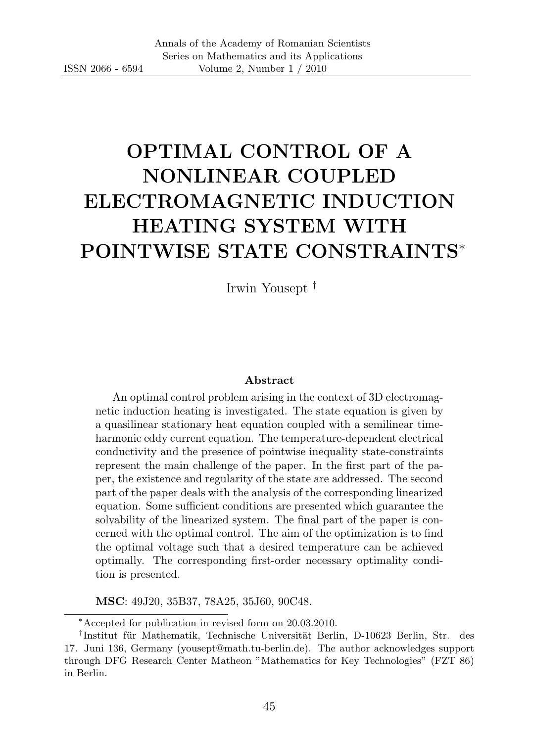# OPTIMAL CONTROL OF A NONLINEAR COUPLED ELECTROMAGNETIC INDUCTION HEATING SYSTEM WITH POINTWISE STATE CONSTRAINTS<sup>∗</sup>

Irwin Yousept †

#### Abstract

An optimal control problem arising in the context of 3D electromagnetic induction heating is investigated. The state equation is given by a quasilinear stationary heat equation coupled with a semilinear timeharmonic eddy current equation. The temperature-dependent electrical conductivity and the presence of pointwise inequality state-constraints represent the main challenge of the paper. In the first part of the paper, the existence and regularity of the state are addressed. The second part of the paper deals with the analysis of the corresponding linearized equation. Some sufficient conditions are presented which guarantee the solvability of the linearized system. The final part of the paper is concerned with the optimal control. The aim of the optimization is to find the optimal voltage such that a desired temperature can be achieved optimally. The corresponding first-order necessary optimality condition is presented.

MSC: 49J20, 35B37, 78A25, 35J60, 90C48.

<sup>∗</sup>Accepted for publication in revised form on 20.03.2010.

<sup>&</sup>lt;sup>†</sup>Institut für Mathematik, Technische Universität Berlin, D-10623 Berlin, Str. des 17. Juni 136, Germany (yousept@math.tu-berlin.de). The author acknowledges support through DFG Research Center Matheon "Mathematics for Key Technologies" (FZT 86) in Berlin.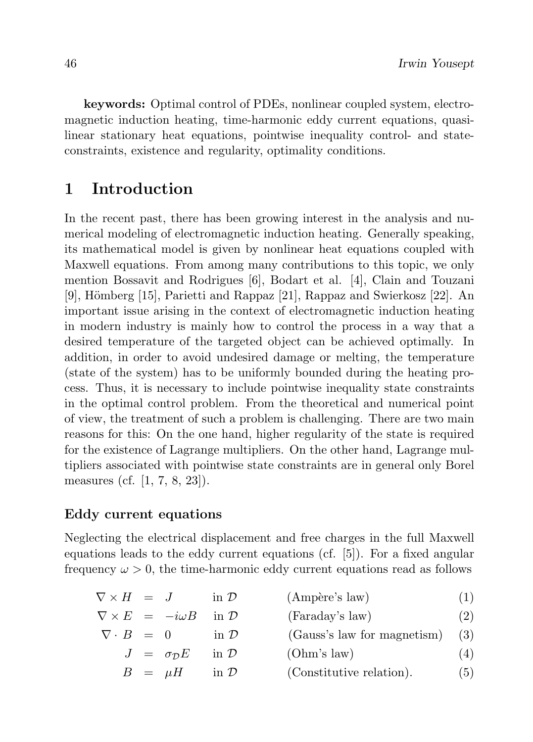keywords: Optimal control of PDEs, nonlinear coupled system, electromagnetic induction heating, time-harmonic eddy current equations, quasilinear stationary heat equations, pointwise inequality control- and stateconstraints, existence and regularity, optimality conditions.

# 1 Introduction

In the recent past, there has been growing interest in the analysis and numerical modeling of electromagnetic induction heating. Generally speaking, its mathematical model is given by nonlinear heat equations coupled with Maxwell equations. From among many contributions to this topic, we only mention Bossavit and Rodrigues [6], Bodart et al. [4], Clain and Touzani [9], Hömberg  $[15]$ , Parietti and Rappaz  $[21]$ , Rappaz and Swierkosz  $[22]$ . An important issue arising in the context of electromagnetic induction heating in modern industry is mainly how to control the process in a way that a desired temperature of the targeted object can be achieved optimally. In addition, in order to avoid undesired damage or melting, the temperature (state of the system) has to be uniformly bounded during the heating process. Thus, it is necessary to include pointwise inequality state constraints in the optimal control problem. From the theoretical and numerical point of view, the treatment of such a problem is challenging. There are two main reasons for this: On the one hand, higher regularity of the state is required for the existence of Lagrange multipliers. On the other hand, Lagrange multipliers associated with pointwise state constraints are in general only Borel measures (cf. [1, 7, 8, 23]).

## Eddy current equations

Neglecting the electrical displacement and free charges in the full Maxwell equations leads to the eddy current equations (cf. [5]). For a fixed angular frequency  $\omega > 0$ , the time-harmonic eddy current equations read as follows

| (Ampère's law)<br>$\nabla \times H =$<br>in $\mathcal{D}$ |
|-----------------------------------------------------------|
|-----------------------------------------------------------|

|                      | $\nabla \times E = -i\omega B$ in $\mathcal{D}$ |                    | (Faraday's law)                   | (2) |
|----------------------|-------------------------------------------------|--------------------|-----------------------------------|-----|
| $\nabla \cdot B = 0$ |                                                 | in $\mathcal{D}$   | $(Gauss's law for magnetism)$ (3) |     |
|                      | $J = \sigma_{\mathcal{D}} E$ in $\mathcal{D}$   |                    | (Ohm's law)                       | (4) |
|                      | $B = \mu H$                                     | $\sin \mathcal{D}$ | (Constitutive relation).          | (5) |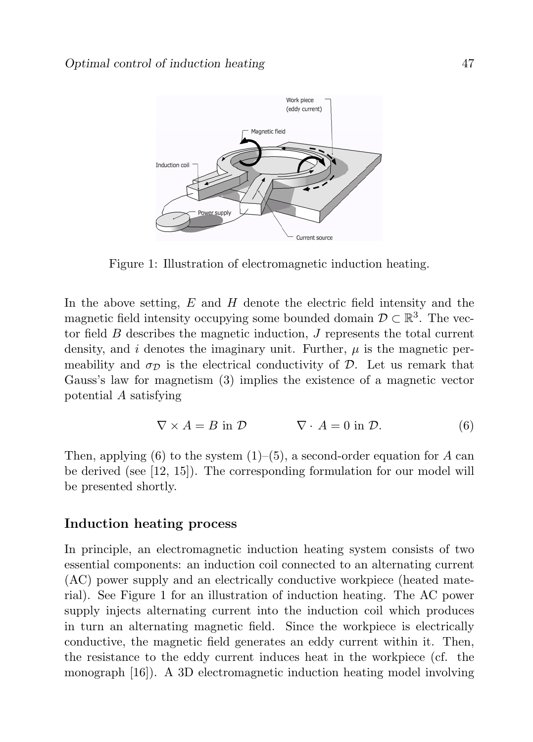

Figure 1: Illustration of electromagnetic induction heating.

In the above setting,  $E$  and  $H$  denote the electric field intensity and the magnetic field intensity occupying some bounded domain  $\mathcal{D} \subset \mathbb{R}^3$ . The vector field  $B$  describes the magnetic induction,  $J$  represents the total current density, and i denotes the imaginary unit. Further,  $\mu$  is the magnetic permeability and  $\sigma_{\mathcal{D}}$  is the electrical conductivity of  $\mathcal{D}$ . Let us remark that Gauss's law for magnetism (3) implies the existence of a magnetic vector potential A satisfying

$$
\nabla \times A = B \text{ in } \mathcal{D} \qquad \nabla \cdot A = 0 \text{ in } \mathcal{D}. \tag{6}
$$

Then, applying (6) to the system  $(1)$ –(5), a second-order equation for A can be derived (see [12, 15]). The corresponding formulation for our model will be presented shortly.

#### Induction heating process

In principle, an electromagnetic induction heating system consists of two essential components: an induction coil connected to an alternating current (AC) power supply and an electrically conductive workpiece (heated material). See Figure 1 for an illustration of induction heating. The AC power supply injects alternating current into the induction coil which produces in turn an alternating magnetic field. Since the workpiece is electrically conductive, the magnetic field generates an eddy current within it. Then, the resistance to the eddy current induces heat in the workpiece (cf. the monograph [16]). A 3D electromagnetic induction heating model involving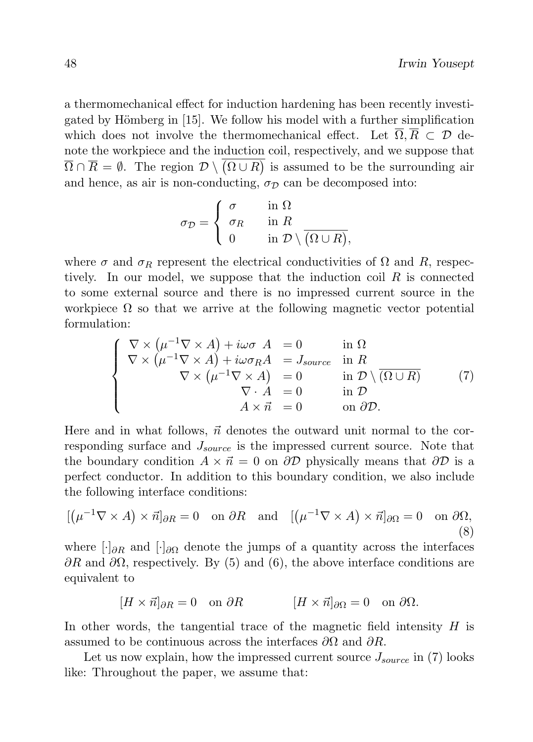a thermomechanical effect for induction hardening has been recently investigated by Hömberg in [15]. We follow his model with a further simplification which does not involve the thermomechanical effect. Let  $\overline{\Omega}, \overline{R} \subset \mathcal{D}$  denote the workpiece and the induction coil, respectively, and we suppose that  $\overline{\Omega} \cap \overline{R} = \emptyset$ . The region  $\mathcal{D} \setminus (\Omega \cup R)$  is assumed to be the surrounding air and hence, as air is non-conducting,  $\sigma_{\mathcal{D}}$  can be decomposed into:

$$
\sigma_{\mathcal{D}} = \begin{cases}\n\sigma & \text{in } \Omega \\
\sigma_R & \text{in } R \\
0 & \text{in } \mathcal{D} \setminus \overline{(\Omega \cup R)},\n\end{cases}
$$

where  $\sigma$  and  $\sigma_R$  represent the electrical conductivities of  $\Omega$  and  $R$ , respectively. In our model, we suppose that the induction coil  $R$  is connected to some external source and there is no impressed current source in the workpiece  $\Omega$  so that we arrive at the following magnetic vector potential formulation:

$$
\begin{cases}\n\nabla \times (\mu^{-1} \nabla \times A) + i\omega \sigma A = 0 & \text{in } \Omega \\
\nabla \times (\mu^{-1} \nabla \times A) + i\omega \sigma_R A = J_{source} & \text{in } R \\
\nabla \times (\mu^{-1} \nabla \times A) = 0 & \text{in } \mathcal{D} \setminus (\overline{\Omega \cup R}) \\
\nabla \cdot A = 0 & \text{in } \mathcal{D} \\
A \times \vec{n} = 0 & \text{on } \partial \mathcal{D}.\n\end{cases}
$$
\n(7)

Here and in what follows,  $\vec{n}$  denotes the outward unit normal to the corresponding surface and  $J_{source}$  is the impressed current source. Note that the boundary condition  $A \times \vec{n} = 0$  on  $\partial \mathcal{D}$  physically means that  $\partial \mathcal{D}$  is a perfect conductor. In addition to this boundary condition, we also include the following interface conditions:

$$
[(\mu^{-1}\nabla \times A) \times \vec{n}]_{\partial R} = 0 \quad \text{on } \partial R \quad \text{and} \quad [(\mu^{-1}\nabla \times A) \times \vec{n}]_{\partial \Omega} = 0 \quad \text{on } \partial \Omega,
$$
\n(8)

where  $\left[\cdot\right]_{\partial R}$  and  $\left[\cdot\right]_{\partial \Omega}$  denote the jumps of a quantity across the interfaces  $\partial R$  and  $\partial \Omega$ , respectively. By (5) and (6), the above interface conditions are equivalent to

$$
[H \times \vec{n}]_{\partial R} = 0 \quad \text{on } \partial R \qquad [H \times \vec{n}]_{\partial \Omega} = 0 \quad \text{on } \partial \Omega.
$$

In other words, the tangential trace of the magnetic field intensity  $H$  is assumed to be continuous across the interfaces  $\partial\Omega$  and  $\partial R$ .

Let us now explain, how the impressed current source  $J_{source}$  in (7) looks like: Throughout the paper, we assume that: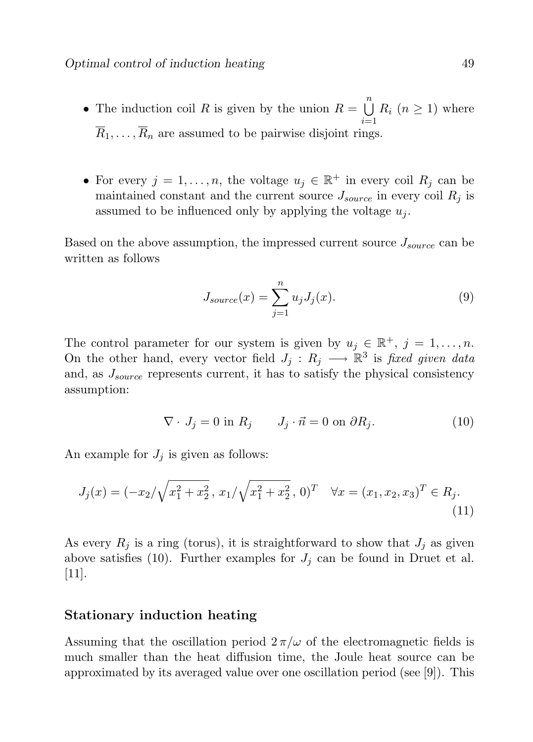- The induction coil R is given by the union  $R = \bigcup_{n=1}^{n} R_n$  $\frac{i=1}{i}$  $R_i$   $(n \geq 1)$  where  $\overline{R}_1, \ldots, \overline{R}_n$  are assumed to be pairwise disjoint rings.
- For every  $j = 1, ..., n$ , the voltage  $u_j \in \mathbb{R}^+$  in every coil  $R_j$  can be maintained constant and the current source  $J_{source}$  in every coil  $R_i$  is assumed to be influenced only by applying the voltage  $u_i$ .

Based on the above assumption, the impressed current source  $J_{source}$  can be written as follows

$$
J_{source}(x) = \sum_{j=1}^{n} u_j J_j(x). \tag{9}
$$

The control parameter for our system is given by  $u_j \in \mathbb{R}^+, j = 1, \ldots, n$ . On the other hand, every vector field  $J_j: R_j \longrightarrow \mathbb{R}^3$  is fixed given data and, as  $J_{source}$  represents current, it has to satisfy the physical consistency assumption:

$$
\nabla \cdot J_j = 0 \text{ in } R_j \qquad J_j \cdot \vec{n} = 0 \text{ on } \partial R_j. \tag{10}
$$

An example for  $J_i$  is given as follows:

$$
J_j(x) = (-x_2/\sqrt{x_1^2 + x_2^2}, x_1/\sqrt{x_1^2 + x_2^2}, 0)^T \quad \forall x = (x_1, x_2, x_3)^T \in R_j.
$$
\n(11)

As every  $R_i$  is a ring (torus), it is straightforward to show that  $J_i$  as given above satisfies (10). Further examples for  $J_i$  can be found in Druet et al.  $|11|$ .

## Stationary induction heating

Assuming that the oscillation period  $2\pi/\omega$  of the electromagnetic fields is much smaller than the heat diffusion time, the Joule heat source can be approximated by its averaged value over one oscillation period (see [9]). This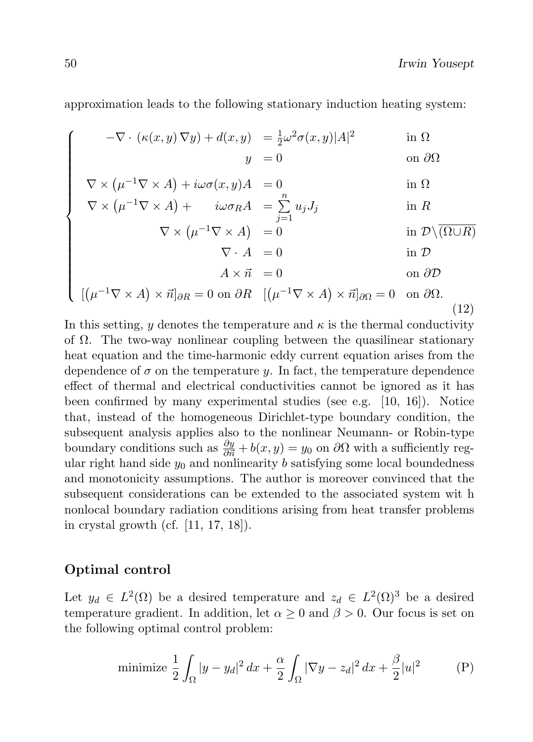approximation leads to the following stationary induction heating system:

 $-\nabla \cdot (\kappa(x, y) \nabla y) + d(x, y) = \frac{1}{2} \omega^2 \sigma(x, y) |A|^2$ in Ω  $y = 0$  on  $\partial\Omega$ 

$$
\nabla \times (\mu^{-1} \nabla \times A) + i\omega \sigma(x, y)A = 0 \quad \text{in } \Omega
$$
  

$$
\nabla \times (\mu^{-1} \nabla \times A) + i\omega \sigma_R A = \sum_{i=1}^{n} u_j J_j \quad \text{in } R
$$

$$
\nabla \times (\mu^{-1} \nabla \times A) + i\omega \sigma_R A = \sum_{j=1} u_j J_j \quad \text{in } R
$$
  
 
$$
\nabla \times (\mu^{-1} \nabla \times A) = 0 \quad \text{in } \mathcal{D} \setminus (\Omega \cup R)
$$

$$
\nabla \cdot A = 0 \qquad \text{in } \mathcal{D}
$$
\n
$$
A \times \vec{n} = 0 \qquad \text{on } \partial \mathcal{D}
$$

$$
\nabla \times (\mu^{-1} \nabla \times A) = 0 \quad \text{in } \mathcal{D} \setminus (\Omega \cup R)
$$
  
\n
$$
\nabla \cdot A = 0 \quad \text{in } \mathcal{D}
$$
  
\n
$$
A \times \vec{n} = 0 \quad \text{on } \partial \mathcal{D}
$$
  
\n
$$
[(\mu^{-1} \nabla \times A) \times \vec{n}]_{\partial R} = 0 \text{ on } \partial R \quad [(\mu^{-1} \nabla \times A) \times \vec{n}]_{\partial \Omega} = 0 \text{ on } \partial \Omega.
$$
  
\n(12)

In this setting, y denotes the temperature and  $\kappa$  is the thermal conductivity of  $\Omega$ . The two-way nonlinear coupling between the quasilinear stationary heat equation and the time-harmonic eddy current equation arises from the dependence of  $\sigma$  on the temperature y. In fact, the temperature dependence effect of thermal and electrical conductivities cannot be ignored as it has been confirmed by many experimental studies (see e.g. [10, 16]). Notice that, instead of the homogeneous Dirichlet-type boundary condition, the subsequent analysis applies also to the nonlinear Neumann- or Robin-type boundary conditions such as  $\frac{\partial y}{\partial n} + b(x, y) = y_0$  on  $\partial \Omega$  with a sufficiently regular right hand side  $y_0$  and nonlinearity b satisfying some local boundedness and monotonicity assumptions. The author is moreover convinced that the subsequent considerations can be extended to the associated system wit h nonlocal boundary radiation conditions arising from heat transfer problems in crystal growth (cf. [11, 17, 18]).

## Optimal control

Let  $y_d \in L^2(\Omega)$  be a desired temperature and  $z_d \in L^2(\Omega)^3$  be a desired temperature gradient. In addition, let  $\alpha \geq 0$  and  $\beta > 0$ . Our focus is set on the following optimal control problem:

minimize 
$$
\frac{1}{2} \int_{\Omega} |y - y_d|^2 dx + \frac{\alpha}{2} \int_{\Omega} |\nabla y - z_d|^2 dx + \frac{\beta}{2} |u|^2
$$
 (P)

 $\sqrt{ }$ 

 $\begin{array}{c} \hline \end{array}$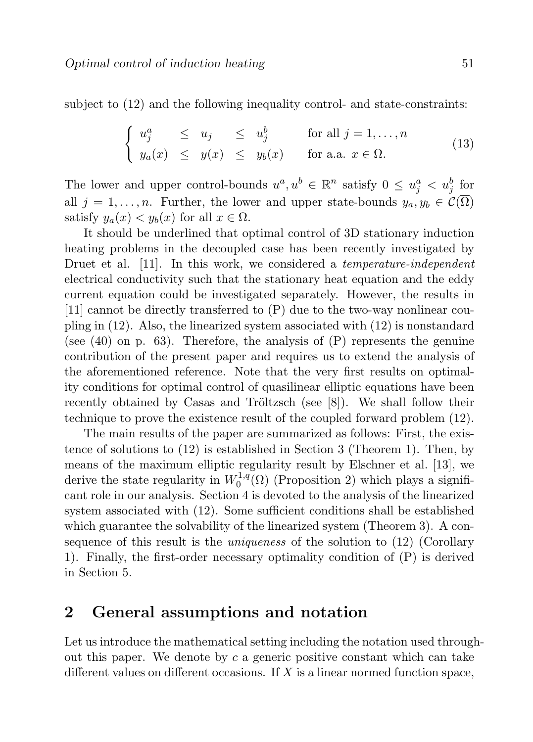subject to (12) and the following inequality control- and state-constraints:

$$
\begin{cases}\n u_j^a \le u_j \le u_j^b \quad \text{for all } j = 1, ..., n \\
 y_a(x) \le y(x) \le y_b(x) \quad \text{for a.a. } x \in \Omega.\n\end{cases}
$$
\n(13)

The lower and upper control-bounds  $u^a, u^b \in \mathbb{R}^n$  satisfy  $0 \leq u^a_j < u^b_j$  for all  $j = 1, \ldots, n$ . Further, the lower and upper state-bounds  $y_a, y_b \in \mathcal{C}(\overline{\Omega})$ satisfy  $y_a(x) < y_b(x)$  for all  $x \in \overline{\Omega}$ .

It should be underlined that optimal control of 3D stationary induction heating problems in the decoupled case has been recently investigated by Druet et al. [11]. In this work, we considered a *temperature-independent* electrical conductivity such that the stationary heat equation and the eddy current equation could be investigated separately. However, the results in [11] cannot be directly transferred to (P) due to the two-way nonlinear coupling in (12). Also, the linearized system associated with (12) is nonstandard (see  $(40)$  on p. 63). Therefore, the analysis of  $(P)$  represents the genuine contribution of the present paper and requires us to extend the analysis of the aforementioned reference. Note that the very first results on optimality conditions for optimal control of quasilinear elliptic equations have been recently obtained by Casas and Tröltzsch (see  $[8]$ ). We shall follow their technique to prove the existence result of the coupled forward problem (12).

The main results of the paper are summarized as follows: First, the existence of solutions to (12) is established in Section 3 (Theorem 1). Then, by means of the maximum elliptic regularity result by Elschner et al. [13], we derive the state regularity in  $W_0^{1,q}$  $_{0}^{\text{1,q}}(\Omega)$  (Proposition 2) which plays a significant role in our analysis. Section 4 is devoted to the analysis of the linearized system associated with (12). Some sufficient conditions shall be established which guarantee the solvability of the linearized system (Theorem 3). A consequence of this result is the *uniqueness* of the solution to (12) (Corollary 1). Finally, the first-order necessary optimality condition of (P) is derived in Section 5.

## 2 General assumptions and notation

Let us introduce the mathematical setting including the notation used throughout this paper. We denote by  $c$  a generic positive constant which can take different values on different occasions. If  $X$  is a linear normed function space,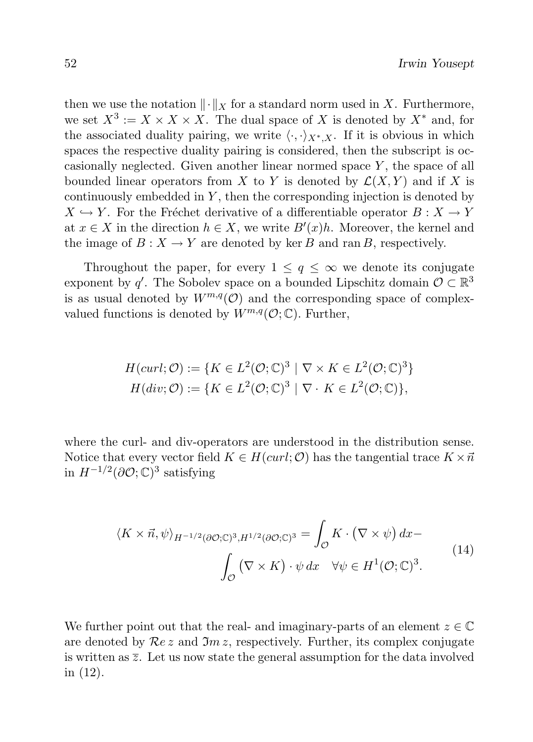then we use the notation  $\|\cdot\|_X$  for a standard norm used in X. Furthermore, we set  $X^3 := X \times X \times X$ . The dual space of X is denoted by  $X^*$  and, for the associated duality pairing, we write  $\langle \cdot, \cdot \rangle_{X^*,X}$ . If it is obvious in which spaces the respective duality pairing is considered, then the subscript is occasionally neglected. Given another linear normed space  $Y$ , the space of all bounded linear operators from X to Y is denoted by  $\mathcal{L}(X, Y)$  and if X is continuously embedded in  $Y$ , then the corresponding injection is denoted by  $X \hookrightarrow Y$ . For the Fréchet derivative of a differentiable operator  $B : X \to Y$ at  $x \in X$  in the direction  $h \in X$ , we write  $B'(x)h$ . Moreover, the kernel and the image of  $B: X \to Y$  are denoted by ker B and ran B, respectively.

Throughout the paper, for every  $1 \leq q \leq \infty$  we denote its conjugate exponent by q'. The Sobolev space on a bounded Lipschitz domain  $\mathcal{O} \subset \mathbb{R}^3$ is as usual denoted by  $W^{m,q}(\mathcal{O})$  and the corresponding space of complexvalued functions is denoted by  $W^{m,q}(\mathcal{O};\mathbb{C})$ . Further,

$$
H(curl; \mathcal{O}) := \{ K \in L^2(\mathcal{O}; \mathbb{C})^3 \mid \nabla \times K \in L^2(\mathcal{O}; \mathbb{C})^3 \}
$$
  

$$
H(div; \mathcal{O}) := \{ K \in L^2(\mathcal{O}; \mathbb{C})^3 \mid \nabla \cdot K \in L^2(\mathcal{O}; \mathbb{C}) \},
$$

where the curl- and div-operators are understood in the distribution sense. Notice that every vector field  $K \in H(curl; \mathcal{O})$  has the tangential trace  $K \times \vec{n}$ in  $H^{-1/2}(\partial \mathcal{O}; \mathbb{C})^3$  satisfying

$$
\langle K \times \vec{n}, \psi \rangle_{H^{-1/2}(\partial \mathcal{O}; \mathbb{C})^3, H^{1/2}(\partial \mathcal{O}; \mathbb{C})^3} = \int_{\mathcal{O}} K \cdot (\nabla \times \psi) dx - \int_{\mathcal{O}} (\nabla \times K) \cdot \psi dx \quad \forall \psi \in H^1(\mathcal{O}; \mathbb{C})^3.
$$
 (14)

We further point out that the real- and imaginary-parts of an element  $z \in \mathbb{C}$ are denoted by  $\mathcal{R}e\,z$  and  $\mathfrak{Im} z$ , respectively. Further, its complex conjugate is written as  $\overline{z}$ . Let us now state the general assumption for the data involved in (12).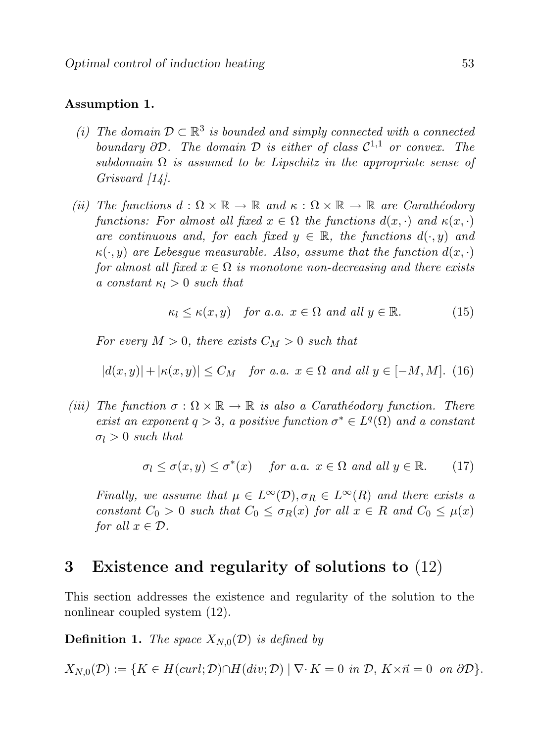#### Assumption 1.

- (i) The domain  $\mathcal{D} \subset \mathbb{R}^3$  is bounded and simply connected with a connected boundary  $\partial \mathcal{D}$ . The domain  $\mathcal D$  is either of class  $\mathcal{C}^{1,1}$  or convex. The subdomain  $\Omega$  is assumed to be Lipschitz in the appropriate sense of Grisvard [14].
- (ii) The functions  $d : \Omega \times \mathbb{R} \to \mathbb{R}$  and  $\kappa : \Omega \times \mathbb{R} \to \mathbb{R}$  are Carathéodory functions: For almost all fixed  $x \in \Omega$  the functions  $d(x, \cdot)$  and  $\kappa(x, \cdot)$ are continuous and, for each fixed  $y \in \mathbb{R}$ , the functions  $d(\cdot, y)$  and  $\kappa(\cdot, y)$  are Lebesgue measurable. Also, assume that the function  $d(x, \cdot)$ for almost all fixed  $x \in \Omega$  is monotone non-decreasing and there exists a constant  $\kappa_l > 0$  such that

$$
\kappa_l \le \kappa(x, y) \quad \text{for a.a. } x \in \Omega \text{ and all } y \in \mathbb{R}.\tag{15}
$$

For every  $M > 0$ , there exists  $C_M > 0$  such that

$$
|d(x,y)| + |\kappa(x,y)| \le C_M \quad \text{for a.a. } x \in \Omega \text{ and all } y \in [-M, M]. \tag{16}
$$

(iii) The function  $\sigma : \Omega \times \mathbb{R} \to \mathbb{R}$  is also a Carathéodory function. There exist an exponent  $q > 3$ , a positive function  $\sigma^* \in L^q(\Omega)$  and a constant  $\sigma_l > 0$  such that

$$
\sigma_l \le \sigma(x, y) \le \sigma^*(x) \quad \text{for a.a. } x \in \Omega \text{ and all } y \in \mathbb{R}.
$$
 (17)

Finally, we assume that  $\mu \in L^{\infty}(\mathcal{D}), \sigma_R \in L^{\infty}(R)$  and there exists a constant  $C_0 > 0$  such that  $C_0 \leq \sigma_R(x)$  for all  $x \in R$  and  $C_0 \leq \mu(x)$ for all  $x \in \mathcal{D}$ .

# 3 Existence and regularity of solutions to (12)

This section addresses the existence and regularity of the solution to the nonlinear coupled system (12).

**Definition 1.** The space  $X_{N,0}(\mathcal{D})$  is defined by

 $X_{N,0}(\mathcal{D}) := \{K \in H(\text{curl}; \mathcal{D}) \cap H(\text{div}; \mathcal{D}) \mid \nabla \cdot K = 0 \text{ in } \mathcal{D}, K \times \vec{n} = 0 \text{ on } \partial \mathcal{D}\}.$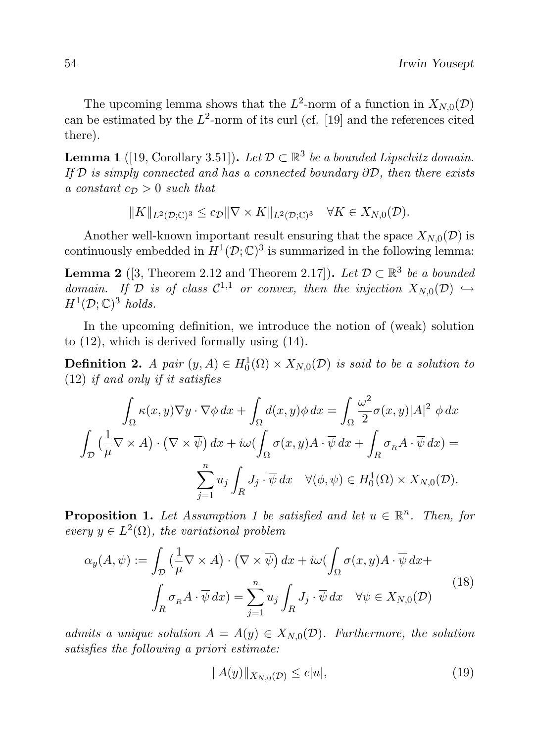The upcoming lemma shows that the  $L^2$ -norm of a function in  $X_{N,0}(\mathcal{D})$ can be estimated by the  $L^2$ -norm of its curl (cf. [19] and the references cited there).

**Lemma 1** ([19, Corollary 3.51]). Let  $\mathcal{D} \subset \mathbb{R}^3$  be a bounded Lipschitz domain. If  $\mathcal D$  is simply connected and has a connected boundary  $\partial \mathcal D$ , then there exists a constant  $c_{\mathcal{D}} > 0$  such that

 $||K||_{L^2(D;\mathbb{C})^3} \leq c_{\mathcal{D}} ||\nabla \times K||_{L^2(D;\mathbb{C})^3} \quad \forall K \in X_{N,0}(\mathcal{D}).$ 

Another well-known important result ensuring that the space  $X_{N,0}(\mathcal{D})$  is continuously embedded in  $H^1(\mathcal{D}; \mathbb{C})^3$  is summarized in the following lemma:

**Lemma 2** ([3, Theorem 2.12 and Theorem 2.17]). Let  $D \subset \mathbb{R}^3$  be a bounded domain. If D is of class  $C^{1,1}$  or convex, then the injection  $X_{N,0}(\mathcal{D}) \hookrightarrow$  $H^1(\mathcal{D};\mathbb{C})^3$  holds.

In the upcoming definition, we introduce the notion of (weak) solution to (12), which is derived formally using (14).

**Definition 2.** A pair  $(y, A) \in H_0^1(\Omega) \times X_{N,0}(\mathcal{D})$  is said to be a solution to (12) if and only if it satisfies

$$
\int_{\Omega} \kappa(x, y) \nabla y \cdot \nabla \phi \, dx + \int_{\Omega} d(x, y) \phi \, dx = \int_{\Omega} \frac{\omega^2}{2} \sigma(x, y) |A|^2 \phi \, dx
$$

$$
\int_{\mathcal{D}} \left( \frac{1}{\mu} \nabla \times A \right) \cdot \left( \nabla \times \overline{\psi} \right) dx + i\omega \left( \int_{\Omega} \sigma(x, y) A \cdot \overline{\psi} \, dx + \int_{R} \sigma_R A \cdot \overline{\psi} \, dx \right) =
$$

$$
\sum_{j=1}^n u_j \int_{R} J_j \cdot \overline{\psi} \, dx \quad \forall (\phi, \psi) \in H_0^1(\Omega) \times X_{N,0}(\mathcal{D}).
$$

**Proposition 1.** Let Assumption 1 be satisfied and let  $u \in \mathbb{R}^n$ . Then, for every  $y \in L^2(\Omega)$ , the variational problem

$$
\alpha_y(A, \psi) := \int_{\mathcal{D}} \left( \frac{1}{\mu} \nabla \times A \right) \cdot \left( \nabla \times \overline{\psi} \right) dx + i\omega \left( \int_{\Omega} \sigma(x, y) A \cdot \overline{\psi} \, dx + \int_{R} \sigma_R A \cdot \overline{\psi} \, dx \right) = \sum_{j=1}^n u_j \int_{R} J_j \cdot \overline{\psi} \, dx \quad \forall \psi \in X_{N,0}(\mathcal{D})
$$
\n(18)

admits a unique solution  $A = A(y) \in X_{N,0}(\mathcal{D})$ . Furthermore, the solution satisfies the following a priori estimate:

$$
||A(y)||_{X_{N,0}(\mathcal{D})} \le c|u|,\tag{19}
$$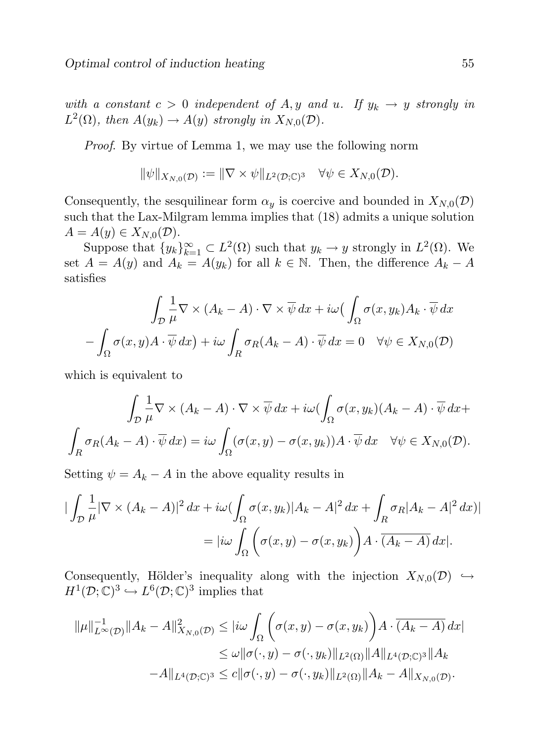with a constant  $c > 0$  independent of A, y and u. If  $y_k \to y$  strongly in  $L^2(\Omega)$ , then  $A(y_k) \to A(y)$  strongly in  $X_{N,0}(\mathcal{D})$ .

Proof. By virtue of Lemma 1, we may use the following norm

$$
\|\psi\|_{X_{N,0}(\mathcal{D})} := \|\nabla \times \psi\|_{L^2(\mathcal{D};\mathbb{C})^3} \quad \forall \psi \in X_{N,0}(\mathcal{D}).
$$

Consequently, the sesquilinear form  $\alpha_y$  is coercive and bounded in  $X_{N,0}(\mathcal{D})$ such that the Lax-Milgram lemma implies that (18) admits a unique solution  $A = A(y) \in X_{N,0}(\mathcal{D}).$ 

Suppose that  $\{y_k\}_{k=1}^{\infty} \subset L^2(\Omega)$  such that  $y_k \to y$  strongly in  $L^2(\Omega)$ . We set  $A = A(y)$  and  $A_k = A(y_k)$  for all  $k \in \mathbb{N}$ . Then, the difference  $A_k - A$ satisfies

$$
\int_{\mathcal{D}} \frac{1}{\mu} \nabla \times (A_k - A) \cdot \nabla \times \overline{\psi} \, dx + i\omega \big( \int_{\Omega} \sigma(x, y_k) A_k \cdot \overline{\psi} \, dx - \int_{\Omega} \sigma(x, y) A \cdot \overline{\psi} \, dx \big) + i\omega \int_{R} \sigma_R (A_k - A) \cdot \overline{\psi} \, dx = 0 \quad \forall \psi \in X_{N,0}(\mathcal{D})
$$

which is equivalent to

$$
\int_{\mathcal{D}} \frac{1}{\mu} \nabla \times (A_k - A) \cdot \nabla \times \overline{\psi} \, dx + i\omega \left( \int_{\Omega} \sigma(x, y_k)(A_k - A) \cdot \overline{\psi} \, dx + \int_{R} \sigma_R (A_k - A) \cdot \overline{\psi} \, dx \right)
$$
\n
$$
\int_{R} \sigma_R (A_k - A) \cdot \overline{\psi} \, dx = i\omega \int_{\Omega} (\sigma(x, y) - \sigma(x, y_k)) A \cdot \overline{\psi} \, dx \quad \forall \psi \in X_{N,0}(\mathcal{D}).
$$

Setting  $\psi = A_k - A$  in the above equality results in

$$
\begin{aligned} \left| \int_{\mathcal{D}} \frac{1}{\mu} |\nabla \times (A_k - A)|^2 \, dx + i\omega \left( \int_{\Omega} \sigma(x, y_k) |A_k - A|^2 \, dx + \int_R \sigma_R |A_k - A|^2 \, dx \right) \right| \\ &= |i\omega \int_{\Omega} \left( \sigma(x, y) - \sigma(x, y_k) \right) A \cdot (A_k - A) \, dx|. \end{aligned}
$$

Consequently, Hölder's inequality along with the injection  $X_{N,0}(\mathcal{D}) \hookrightarrow$  $H^1(\mathcal{D}; \mathbb{C})^3 \hookrightarrow L^6(\mathcal{D}; \mathbb{C})^3$  implies that

$$
\|\mu\|_{L^{\infty}(\mathcal{D})}^{-1} \|A_k - A\|_{X_{N,0}(\mathcal{D})}^2 \leq |i\omega \int_{\Omega} \left(\sigma(x,y) - \sigma(x,y_k)\right) A \cdot (A_k - A) dx|
$$
  

$$
\leq \omega \|\sigma(\cdot,y) - \sigma(\cdot,y_k)\|_{L^2(\Omega)} \|A\|_{L^4(\mathcal{D};\mathbb{C})^3} \|A_k
$$
  

$$
-A\|_{L^4(\mathcal{D};\mathbb{C})^3} \leq c \|\sigma(\cdot,y) - \sigma(\cdot,y_k)\|_{L^2(\Omega)} \|A_k - A\|_{X_{N,0}(\mathcal{D})}.
$$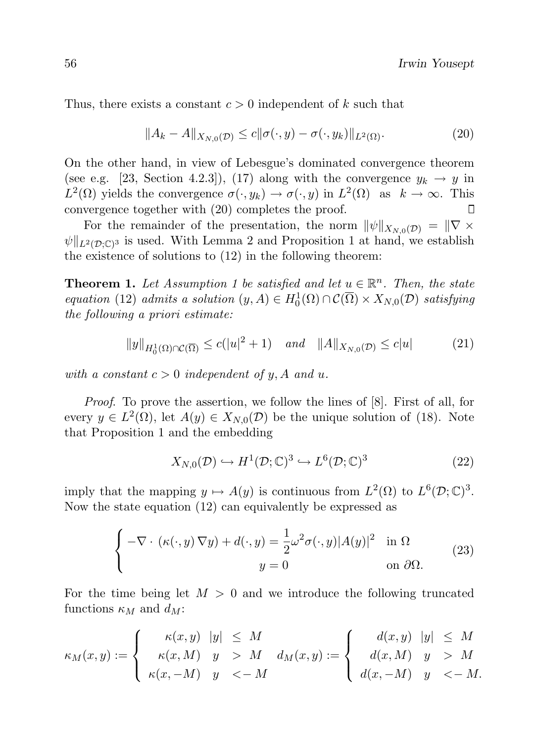Thus, there exists a constant  $c > 0$  independent of k such that

$$
||A_k - A||_{X_{N,0}(\mathcal{D})} \le c||\sigma(\cdot, y) - \sigma(\cdot, y_k)||_{L^2(\Omega)}.
$$
\n
$$
(20)
$$

On the other hand, in view of Lebesgue's dominated convergence theorem (see e.g. [23, Section 4.2.3]), (17) along with the convergence  $y_k \to y$  in  $L^2(\Omega)$  yields the convergence  $\sigma(\cdot, y_k) \to \sigma(\cdot, y)$  in  $L^2(\Omega)$  as  $k \to \infty$ . This convergence together with (20) completes the proof.  $\Box$ 

For the remainder of the presentation, the norm  $\|\psi\|_{X_{N,0}(\mathcal{D})} = \|\nabla \times$  $\|\psi\|_{L^2(\mathcal{D};\mathbb{C})^3}$  is used. With Lemma 2 and Proposition 1 at hand, we establish the existence of solutions to (12) in the following theorem:

**Theorem 1.** Let Assumption 1 be satisfied and let  $u \in \mathbb{R}^n$ . Then, the state equation (12) admits a solution  $(y, A) \in H_0^1(\Omega) \cap C(\overline{\Omega}) \times X_{N,0}(\mathcal{D})$  satisfying the following a priori estimate:

$$
||y||_{H_0^1(\Omega)\cap\mathcal{C}(\overline{\Omega})} \le c(|u|^2 + 1) \quad \text{and} \quad ||A||_{X_{N,0}(\mathcal{D})} \le c|u| \tag{21}
$$

with a constant  $c > 0$  independent of y, A and u.

Proof. To prove the assertion, we follow the lines of [8]. First of all, for every  $y \in L^2(\Omega)$ , let  $A(y) \in X_{N,0}(\mathcal{D})$  be the unique solution of (18). Note that Proposition 1 and the embedding

$$
X_{N,0}(\mathcal{D}) \hookrightarrow H^1(\mathcal{D}; \mathbb{C})^3 \hookrightarrow L^6(\mathcal{D}; \mathbb{C})^3
$$
 (22)

imply that the mapping  $y \mapsto A(y)$  is continuous from  $L^2(\Omega)$  to  $L^6(\mathcal{D}; \mathbb{C})^3$ . Now the state equation (12) can equivalently be expressed as

$$
\begin{cases}\n-\nabla \cdot (\kappa(\cdot, y) \nabla y) + d(\cdot, y) = \frac{1}{2} \omega^2 \sigma(\cdot, y) |A(y)|^2 & \text{in } \Omega \\
y = 0 & \text{on } \partial \Omega.\n\end{cases}
$$
\n(23)

For the time being let  $M > 0$  and we introduce the following truncated functions  $\kappa_M$  and  $d_M$ :

$$
\kappa_M(x,y) := \begin{cases} \kappa(x,y) & |y| \leq M \\ \kappa(x,M) & y > M \\ \kappa(x,-M) & y < -M \end{cases} d_M(x,y) := \begin{cases} \n d(x,y) & |y| \leq M \\ \n d(x,M) & y > M \\ \n d(x,-M) & y < -M. \n\end{cases}
$$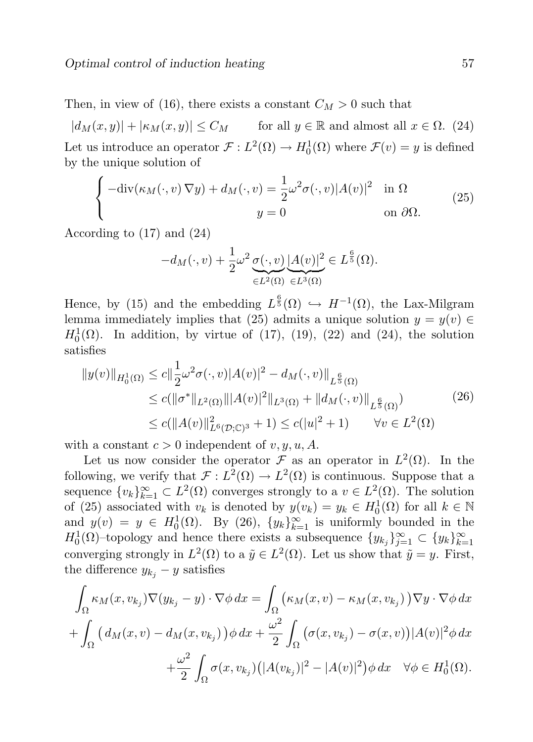Then, in view of (16), there exists a constant  $C_M > 0$  such that

 $|d_M(x, y)| + |\kappa_M(x, y)| \leq C_M$  for all  $y \in \mathbb{R}$  and almost all  $x \in \Omega$ . (24) Let us introduce an operator  $\mathcal{F}: L^2(\Omega) \to H_0^1(\Omega)$  where  $\mathcal{F}(v) = y$  is defined by the unique solution of

$$
\begin{cases}\n-\text{div}(\kappa_M(\cdot,v)\nabla y) + d_M(\cdot,v) = \frac{1}{2}\omega^2 \sigma(\cdot,v)|A(v)|^2 & \text{in } \Omega\\
y = 0 & \text{on } \partial\Omega.\n\end{cases}
$$
\n(25)

According to (17) and (24)

$$
-d_M(\cdot,v) + \frac{1}{2}\omega^2 \underbrace{\sigma(\cdot,v)}_{\in L^2(\Omega)} \underbrace{|A(v)|^2}_{\in L^3(\Omega)} \in L^{\frac{6}{5}}(\Omega).
$$

Hence, by (15) and the embedding  $L^{\frac{6}{5}}(\Omega) \hookrightarrow H^{-1}(\Omega)$ , the Lax-Milgram lemma immediately implies that (25) admits a unique solution  $y = y(v) \in$  $H_0^1(\Omega)$ . In addition, by virtue of (17), (19), (22) and (24), the solution satisfies

$$
||y(v)||_{H_0^1(\Omega)} \le c||\frac{1}{2}\omega^2 \sigma(\cdot, v)|A(v)|^2 - d_M(\cdot, v)||_{L^{\frac{6}{5}}(\Omega)}
$$
  
\n
$$
\le c(||\sigma^*||_{L^2(\Omega)}|||A(v)|^2||_{L^3(\Omega)} + ||d_M(\cdot, v)||_{L^{\frac{6}{5}}(\Omega)}
$$
  
\n
$$
\le c(||A(v)||_{L^6(\mathcal{D};\mathbb{C})^3}^2 + 1) \le c(|u|^2 + 1) \qquad \forall v \in L^2(\Omega)
$$
 (26)

with a constant  $c > 0$  independent of v, y, u, A.

Let us now consider the operator  $\mathcal F$  as an operator in  $L^2(\Omega)$ . In the following, we verify that  $\mathcal{F}: L^2(\Omega) \to L^2(\Omega)$  is continuous. Suppose that a sequence  $\{v_k\}_{k=1}^{\infty} \subset L^2(\Omega)$  converges strongly to a  $v \in L^2(\Omega)$ . The solution of (25) associated with  $v_k$  is denoted by  $y(v_k) = y_k \in H_0^1(\Omega)$  for all  $k \in \mathbb{N}$ and  $y(v) = y \in H_0^1(\Omega)$ . By (26),  $\{y_k\}_{k=1}^{\infty}$  is uniformly bounded in the  $H_0^1(\Omega)$ -topology and hence there exists a subsequence  $\{y_{k_j}\}_{j=1}^\infty \subset \{y_k\}_{k=1}^\infty$ converging strongly in  $L^2(\Omega)$  to a  $\tilde{y} \in L^2(\Omega)$ . Let us show that  $\tilde{y} = y$ . First, the difference  $y_{k_j} - y$  satisfies

$$
\int_{\Omega} \kappa_M(x, v_{k_j}) \nabla(y_{k_j} - y) \cdot \nabla \phi \, dx = \int_{\Omega} \left( \kappa_M(x, v) - \kappa_M(x, v_{k_j}) \right) \nabla y \cdot \nabla \phi \, dx \n+ \int_{\Omega} \left( d_M(x, v) - d_M(x, v_{k_j}) \right) \phi \, dx + \frac{\omega^2}{2} \int_{\Omega} \left( \sigma(x, v_{k_j}) - \sigma(x, v) \right) |A(v)|^2 \phi \, dx \n+ \frac{\omega^2}{2} \int_{\Omega} \sigma(x, v_{k_j}) \left( |A(v_{k_j})|^2 - |A(v)|^2 \right) \phi \, dx \quad \forall \phi \in H_0^1(\Omega).
$$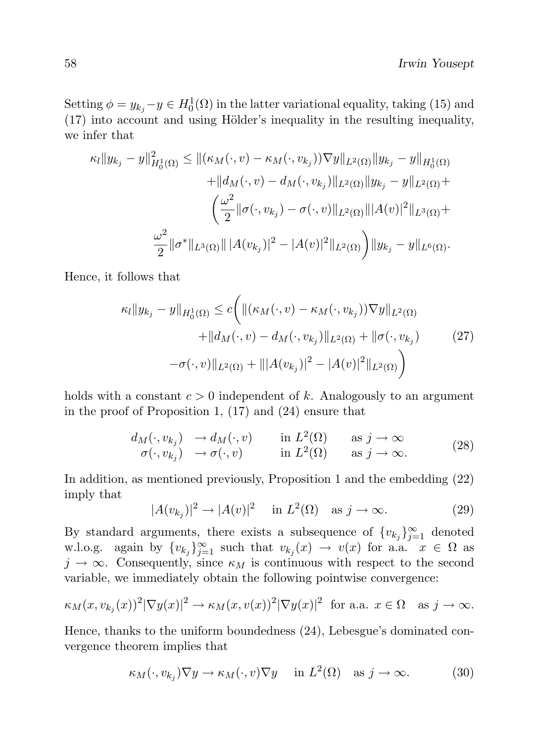Setting  $\phi = y_{k_j} - y \in H_0^1(\Omega)$  in the latter variational equality, taking (15) and  $(17)$  into account and using Hölder's inequality in the resulting inequality, we infer that

$$
\kappa_l \|y_{k_j} - y\|_{H_0^1(\Omega)}^2 \le \|(\kappa_M(\cdot, v) - \kappa_M(\cdot, v_{k_j}))\nabla y\|_{L^2(\Omega)} \|y_{k_j} - y\|_{H_0^1(\Omega)} \n+ \|d_M(\cdot, v) - d_M(\cdot, v_{k_j})\|_{L^2(\Omega)} \|y_{k_j} - y\|_{L^2(\Omega)} + \n\left(\frac{\omega^2}{2} \|\sigma(\cdot, v_{k_j}) - \sigma(\cdot, v)\|_{L^2(\Omega)} \|A(v)|^2\|_{L^3(\Omega)} + \n\frac{\omega^2}{2} \|\sigma^*\|_{L^3(\Omega)} \|A(v_{k_j})|^2 - |A(v)|^2 \|_{L^2(\Omega)} \right) \|y_{k_j} - y\|_{L^6(\Omega)}.
$$

Hence, it follows that

$$
\kappa_l \|y_{k_j} - y\|_{H_0^1(\Omega)} \le c \bigg( \| (\kappa_M(\cdot, v) - \kappa_M(\cdot, v_{k_j})) \nabla y \|_{L^2(\Omega)} \n+ \| d_M(\cdot, v) - d_M(\cdot, v_{k_j}) \|_{L^2(\Omega)} + \| \sigma(\cdot, v_{k_j}) \n- \sigma(\cdot, v) \|_{L^2(\Omega)} + \| |A(v_{k_j})|^2 - |A(v)|^2 \|_{L^2(\Omega)} \bigg)
$$
\n(27)

holds with a constant  $c > 0$  independent of k. Analogously to an argument in the proof of Proposition 1, (17) and (24) ensure that

$$
\begin{array}{ll}\n d_M(\cdot, v_{k_j}) & \to d_M(\cdot, v) & \text{in } L^2(\Omega) & \text{as } j \to \infty \\
 \sigma(\cdot, v_{k_j}) & \to \sigma(\cdot, v) & \text{in } L^2(\Omega) & \text{as } j \to \infty.\n \end{array}\n \tag{28}
$$

In addition, as mentioned previously, Proposition 1 and the embedding (22) imply that

$$
|A(v_{kj})|^2 \to |A(v)|^2 \quad \text{in } L^2(\Omega) \quad \text{as } j \to \infty. \tag{29}
$$

By standard arguments, there exists a subsequence of  $\{v_{k_j}\}_{j=1}^{\infty}$  denoted w.l.o.g. again by  $\{v_{k_j}\}_{j=1}^{\infty}$  such that  $v_{k_j}(x) \to v(x)$  for a.a.  $x \in \Omega$  as  $j \to \infty$ . Consequently, since  $\kappa_M$  is continuous with respect to the second variable, we immediately obtain the following pointwise convergence:

$$
\kappa_M(x, v_{k_j}(x))^2 |\nabla y(x)|^2 \to \kappa_M(x, v(x))^2 |\nabla y(x)|^2 \text{ for a.a. } x \in \Omega \text{ as } j \to \infty.
$$

Hence, thanks to the uniform boundedness (24), Lebesgue's dominated convergence theorem implies that

$$
\kappa_M(\cdot, v_{k_j}) \nabla y \to \kappa_M(\cdot, v) \nabla y \quad \text{ in } L^2(\Omega) \quad \text{as } j \to \infty. \tag{30}
$$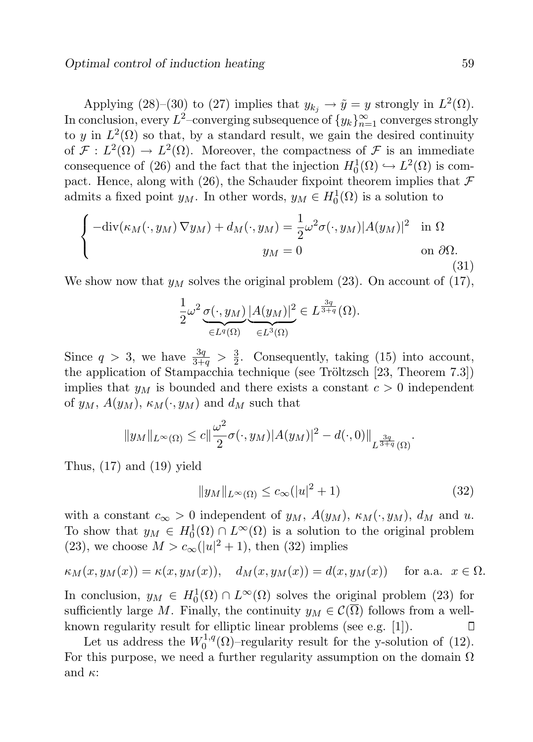Applying (28)–(30) to (27) implies that  $y_{k_j} \to \tilde{y} = y$  strongly in  $L^2(\Omega)$ . In conclusion, every  $L^2$ –converging subsequence of  $\{y_k\}_{n=1}^\infty$  converges strongly to y in  $L^2(\Omega)$  so that, by a standard result, we gain the desired continuity of  $\mathcal{F}: L^2(\Omega) \to L^2(\Omega)$ . Moreover, the compactness of  $\mathcal F$  is an immediate consequence of (26) and the fact that the injection  $H_0^1(\Omega) \hookrightarrow L^2(\Omega)$  is compact. Hence, along with (26), the Schauder fixpoint theorem implies that  $\mathcal F$ admits a fixed point  $y_M$ . In other words,  $y_M \in H_0^1(\Omega)$  is a solution to

$$
\begin{cases}\n-\text{div}(\kappa_M(\cdot, y_M) \nabla y_M) + d_M(\cdot, y_M) = \frac{1}{2} \omega^2 \sigma(\cdot, y_M) |A(y_M)|^2 & \text{in } \Omega \\
y_M = 0 & \text{on } \partial\Omega.\n\end{cases}
$$
\n(31)

We show now that  $y_M$  solves the original problem (23). On account of (17),

$$
\frac{1}{2}\omega^2 \underbrace{\sigma(\cdot,y_M)}_{\in L^q(\Omega)} \underbrace{|A(y_M)|^2}_{\in L^3(\Omega)} \in L^{\frac{3q}{3+q}}(\Omega).
$$

Since  $q > 3$ , we have  $\frac{3q}{3+q} > \frac{3}{2}$  $\frac{3}{2}$ . Consequently, taking (15) into account, the application of Stampacchia technique (see Tröltzsch [23, Theorem 7.3]) implies that  $y_M$  is bounded and there exists a constant  $c > 0$  independent of  $y_M$ ,  $A(y_M)$ ,  $\kappa_M(\cdot, y_M)$  and  $d_M$  such that

$$
||y_M||_{L^{\infty}(\Omega)} \leq c||\frac{\omega^2}{2}\sigma(\cdot,y_M)|A(y_M)|^2 - d(\cdot,0)||_{L^{\frac{3q}{3+q}}(\Omega)}.
$$

Thus,  $(17)$  and  $(19)$  yield

$$
||y_M||_{L^{\infty}(\Omega)} \le c_{\infty}(|u|^2 + 1)
$$
\n(32)

with a constant  $c_{\infty} > 0$  independent of  $y_M$ ,  $A(y_M)$ ,  $\kappa_M(\cdot, y_M)$ ,  $d_M$  and u. To show that  $y_M \in H_0^1(\Omega) \cap L^\infty(\Omega)$  is a solution to the original problem (23), we choose  $M > c_{\infty}(|u|^2 + 1)$ , then (32) implies

$$
\kappa_M(x, y_M(x)) = \kappa(x, y_M(x)), \quad d_M(x, y_M(x)) = d(x, y_M(x)) \quad \text{for a.a. } x \in \Omega.
$$

In conclusion,  $y_M \in H_0^1(\Omega) \cap L^{\infty}(\Omega)$  solves the original problem (23) for sufficiently large M. Finally, the continuity  $y_M \in \mathcal{C}(\overline{\Omega})$  follows from a wellknown regularity result for elliptic linear problems (see e.g. [1]). ◫

Let us address the  $W_0^{1,q}$  $0^{1,q}(\Omega)$ -regularity result for the y-solution of (12). For this purpose, we need a further regularity assumption on the domain  $\Omega$ and  $\kappa$ :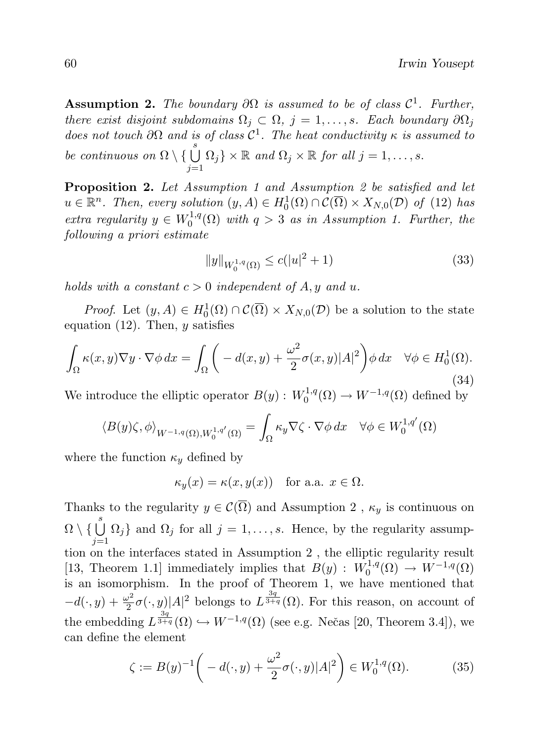**Assumption 2.** The boundary  $\partial\Omega$  is assumed to be of class  $\mathcal{C}^1$ . Further, there exist disjoint subdomains  $\Omega_i \subset \Omega$ ,  $j = 1, \ldots, s$ . Each boundary  $\partial \Omega_j$ does not touch  $\partial\Omega$  and is of class  $\mathcal{C}^1$ . The heat conductivity  $\kappa$  is assumed to be continuous on  $\Omega \setminus \{\bigcup^s$  $j=1$  $\Omega_j$   $\{ \times \mathbb{R} \text{ and } \Omega_j \times \mathbb{R} \text{ for all } j = 1, \ldots, s. \}$ 

Proposition 2. Let Assumption 1 and Assumption 2 be satisfied and let  $u \in \mathbb{R}^n$ . Then, every solution  $(y, A) \in H_0^1(\Omega) \cap C(\overline{\Omega}) \times X_{N,0}(\mathcal{D})$  of (12) has extra regularity  $y \in W_0^{1,q}$  $\int_0^{1,q}$  ( $\Omega$ ) with  $q > 3$  as in Assumption 1. Further, the following a priori estimate

$$
||y||_{W_0^{1,q}(\Omega)} \le c(|u|^2 + 1)
$$
\n(33)

holds with a constant  $c > 0$  independent of A, y and u.

*Proof.* Let  $(y, A) \in H_0^1(\Omega) \cap C(\overline{\Omega}) \times X_{N,0}(\mathcal{D})$  be a solution to the state equation (12). Then,  $y$  satisfies

$$
\int_{\Omega} \kappa(x, y) \nabla y \cdot \nabla \phi \, dx = \int_{\Omega} \left( -d(x, y) + \frac{\omega^2}{2} \sigma(x, y) |A|^2 \right) \phi \, dx \quad \forall \phi \in H_0^1(\Omega).
$$
\n(34)

We introduce the elliptic operator  $B(y)$ :  $W_0^{1,q}$  $i_0^{1,q}(\Omega) \to W^{-1,q}(\Omega)$  defined by

$$
\left\langle B(y)\zeta,\phi\right\rangle_{W^{-1,q}(\Omega),W_0^{1,q'}(\Omega)} = \int_{\Omega} \kappa_y \nabla \zeta \cdot \nabla \phi \, dx \quad \forall \phi \in W_0^{1,q'}(\Omega)
$$

where the function  $\kappa_y$  defined by

$$
\kappa_y(x) = \kappa(x, y(x)) \quad \text{for a.a. } x \in \Omega.
$$

Thanks to the regularity  $y \in \mathcal{C}(\overline{\Omega})$  and Assumption 2,  $\kappa_y$  is continuous on  $\Omega \setminus \{\bigcup^s$  $j=1$  $\Omega_j$ } and  $\Omega_j$  for all  $j = 1, \ldots, s$ . Hence, by the regularity assumption on the interfaces stated in Assumption 2 , the elliptic regularity result [13, Theorem 1.1] immediately implies that  $B(y)$  :  $W_0^{1,q}$  $W^{-1,q}(\Omega) \rightarrow W^{-1,q}(\Omega)$ is an isomorphism. In the proof of Theorem 1, we have mentioned that  $-d(\cdot, y) + \frac{\omega^2}{2}$  $\frac{y^2}{2}\sigma(\cdot,y)|A|^2$  belongs to  $L^{\frac{3q}{3+q}}(\Omega)$ . For this reason, on account of the embedding  $L^{\frac{3q}{3+q}}(\Omega) \hookrightarrow W^{-1,q}(\Omega)$  (see e.g. Nečas [20, Theorem 3.4]), we can define the element

$$
\zeta := B(y)^{-1} \left( -d(\cdot, y) + \frac{\omega^2}{2} \sigma(\cdot, y) |A|^2 \right) \in W_0^{1,q}(\Omega). \tag{35}
$$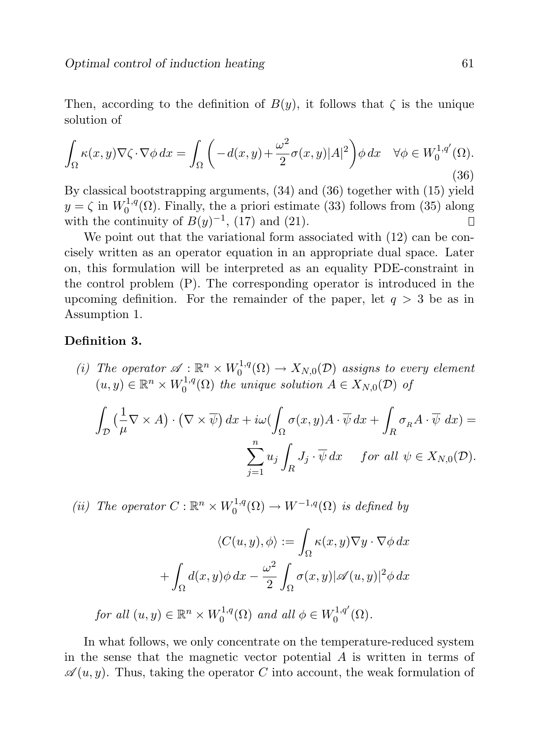Then, according to the definition of  $B(y)$ , it follows that  $\zeta$  is the unique solution of

$$
\int_{\Omega} \kappa(x, y) \nabla \zeta \cdot \nabla \phi \, dx = \int_{\Omega} \left( -d(x, y) + \frac{\omega^2}{2} \sigma(x, y) |A|^2 \right) \phi \, dx \quad \forall \phi \in W_0^{1, q'}(\Omega). \tag{36}
$$

By classical bootstrapping arguments, (34) and (36) together with (15) yield  $y = \zeta$  in  $W_0^{1,q}$  $0^{1,q}(\Omega)$ . Finally, the a priori estimate (33) follows from (35) along with the continuity of  $B(y)^{-1}$ , (17) and (21).  $\Box$ 

We point out that the variational form associated with  $(12)$  can be concisely written as an operator equation in an appropriate dual space. Later on, this formulation will be interpreted as an equality PDE-constraint in the control problem (P). The corresponding operator is introduced in the upcoming definition. For the remainder of the paper, let  $q > 3$  be as in Assumption 1.

### Definition 3.

(i) The operator  $\mathscr{A}: \mathbb{R}^n \times W_0^{1,q}$  $\chi_0^{1,q}(\Omega) \to X_{N,0}(\mathcal{D})$  assigns to every element  $(u, y) \in \mathbb{R}^n \times W_0^{1,q}$  $\mathcal{O}_0^{1,q}(\Omega)$  the unique solution  $A \in X_{N,0}(\mathcal{D})$  of

$$
\int_{\mathcal{D}} \left( \frac{1}{\mu} \nabla \times A \right) \cdot \left( \nabla \times \overline{\psi} \right) dx + i\omega \left( \int_{\Omega} \sigma(x, y) A \cdot \overline{\psi} \, dx + \int_{R} \sigma_{R} A \cdot \overline{\psi} \, dx \right) =
$$
\n
$$
\sum_{j=1}^{n} u_{j} \int_{R} J_{j} \cdot \overline{\psi} \, dx \quad \text{for all } \psi \in X_{N,0}(\mathcal{D}).
$$

(ii) The operator  $C: \mathbb{R}^n \times W_0^{1,q}$  $\iota_0^{1,q}(\Omega) \to W^{-1,q}(\Omega)$  is defined by

$$
\langle C(u, y), \phi \rangle := \int_{\Omega} \kappa(x, y) \nabla y \cdot \nabla \phi \, dx
$$

$$
+ \int_{\Omega} d(x, y) \phi \, dx - \frac{\omega^2}{2} \int_{\Omega} \sigma(x, y) |\mathscr{A}(u, y)|^2 \phi \, dx
$$

for all  $(u, y) \in \mathbb{R}^n \times W_0^{1,q}$  $\sigma_0^{1,q}(\Omega)$  and all  $\phi \in W_0^{1,q'}$  $\binom{1,q}{0}$   $(\Omega)$ .

In what follows, we only concentrate on the temperature-reduced system in the sense that the magnetic vector potential  $A$  is written in terms of  $\mathscr{A}(u, y)$ . Thus, taking the operator C into account, the weak formulation of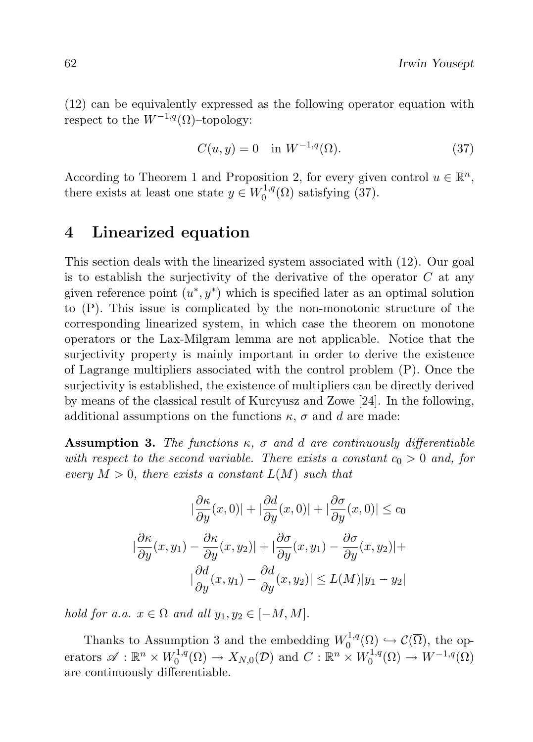(12) can be equivalently expressed as the following operator equation with respect to the  $W^{-1,q}(\Omega)$ –topology:

$$
C(u, y) = 0 \quad \text{in } W^{-1,q}(\Omega). \tag{37}
$$

According to Theorem 1 and Proposition 2, for every given control  $u \in \mathbb{R}^n$ , there exists at least one state  $y \in W_0^{1,q}$  $C_0^{1,q}(\Omega)$  satisfying (37).

## 4 Linearized equation

This section deals with the linearized system associated with (12). Our goal is to establish the surjectivity of the derivative of the operator  $C$  at any given reference point  $(u^*, y^*)$  which is specified later as an optimal solution to (P). This issue is complicated by the non-monotonic structure of the corresponding linearized system, in which case the theorem on monotone operators or the Lax-Milgram lemma are not applicable. Notice that the surjectivity property is mainly important in order to derive the existence of Lagrange multipliers associated with the control problem (P). Once the surjectivity is established, the existence of multipliers can be directly derived by means of the classical result of Kurcyusz and Zowe [24]. In the following, additional assumptions on the functions  $\kappa$ ,  $\sigma$  and d are made:

**Assumption 3.** The functions  $\kappa$ ,  $\sigma$  and d are continuously differentiable with respect to the second variable. There exists a constant  $c_0 > 0$  and, for every  $M > 0$ , there exists a constant  $L(M)$  such that

$$
|\frac{\partial \kappa}{\partial y}(x,0)| + |\frac{\partial d}{\partial y}(x,0)| + |\frac{\partial \sigma}{\partial y}(x,0)| \le c_0
$$
  

$$
|\frac{\partial \kappa}{\partial y}(x,y_1) - \frac{\partial \kappa}{\partial y}(x,y_2)| + |\frac{\partial \sigma}{\partial y}(x,y_1) - \frac{\partial \sigma}{\partial y}(x,y_2)| +
$$
  

$$
|\frac{\partial d}{\partial y}(x,y_1) - \frac{\partial d}{\partial y}(x,y_2)| \le L(M)|y_1 - y_2|
$$

hold for a.a.  $x \in \Omega$  and all  $y_1, y_2 \in [-M, M]$ .

Thanks to Assumption 3 and the embedding  $W_0^{1,q}$  $\mathcal{C}_0^{1,q}(\Omega) \hookrightarrow \mathcal{C}(\overline{\Omega}),$  the operators  $\mathscr{A}: \mathbb{R}^n \times W_0^{1,q}$  $\chi_0^{1,q}(\Omega) \to X_{N,0}(\mathcal{D})$  and  $C: \mathbb{R}^n \times W_0^{1,q}$  $V_0^{1,q}(\Omega) \to W^{-1,q}(\Omega)$ are continuously differentiable.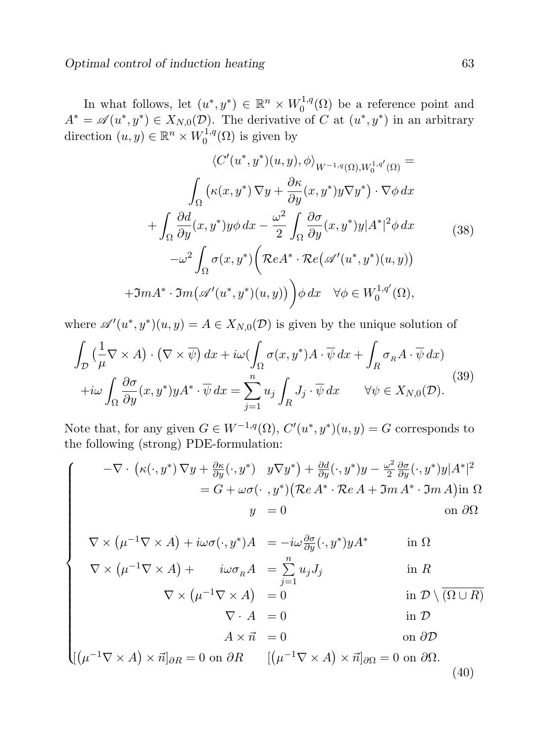$\sqrt{ }$ 

 $\begin{array}{c} \hline \end{array}$ 

In what follows, let  $(u^*, y^*) \in \mathbb{R}^n \times W_0^{1,q}$  $C_0^{1,q}(\Omega)$  be a reference point and  $A^* = \mathscr{A}(u^*, y^*) \in X_{N,0}(\mathcal{D})$ . The derivative of C at  $(u^*, y^*)$  in an arbitrary direction  $(u, y) \in \mathbb{R}^n \times W_0^{1,q}$  $\chi_0^{1,q}(\Omega)$  is given by

$$
\langle C'(u^*, y^*)(u, y), \phi \rangle_{W^{-1,q}(\Omega), W_0^{1,q'}(\Omega)} =
$$
  

$$
\int_{\Omega} \left( \kappa(x, y^*) \nabla y + \frac{\partial \kappa}{\partial y}(x, y^*) y \nabla y^* \right) \cdot \nabla \phi \, dx
$$
  

$$
+ \int_{\Omega} \frac{\partial d}{\partial y}(x, y^*) y \phi \, dx - \frac{\omega^2}{2} \int_{\Omega} \frac{\partial \sigma}{\partial y}(x, y^*) y |A^*|^2 \phi \, dx \qquad (38)
$$
  

$$
- \omega^2 \int_{\Omega} \sigma(x, y^*) \left( \mathcal{R} e A^* \cdot \mathcal{R} e \left( \mathcal{A}'(u^*, y^*)(u, y) \right) \right)
$$
  

$$
+ \Im m A^* \cdot \Im m \left( \mathcal{A}'(u^*, y^*)(u, y) \right) \phi \, dx \quad \forall \phi \in W_0^{1,q'}(\Omega),
$$

where  $\mathscr{A}'(u^*, y^*)(u, y) = A \in X_{N,0}(\mathcal{D})$  is given by the unique solution of

$$
\int_{\mathcal{D}} \left( \frac{1}{\mu} \nabla \times A \right) \cdot \left( \nabla \times \overline{\psi} \right) dx + i\omega \left( \int_{\Omega} \sigma(x, y^*) A \cdot \overline{\psi} \, dx + \int_{R} \sigma_R A \cdot \overline{\psi} \, dx \right) \n+ i\omega \int_{\Omega} \frac{\partial \sigma}{\partial y} (x, y^*) y A^* \cdot \overline{\psi} \, dx = \sum_{j=1}^n u_j \int_{R} J_j \cdot \overline{\psi} \, dx \qquad \forall \psi \in X_{N,0}(\mathcal{D}).
$$
\n(39)

Note that, for any given  $G \in W^{-1,q}(\Omega)$ ,  $C'(u^*, y^*)(u, y) = G$  corresponds to the following (strong) PDE-formulation:

$$
-\nabla \cdot \left( \kappa(\cdot, y^*) \nabla y + \frac{\partial \kappa}{\partial y}(\cdot, y^*) \quad y \nabla y^* \right) + \frac{\partial d}{\partial y}(\cdot, y^*) y - \frac{\omega^2}{2} \frac{\partial \sigma}{\partial y}(\cdot, y^*) y |A^*|^2
$$
  
=  $G + \omega \sigma(\cdot, y^*) \left( \mathcal{R}e A^* \cdot \mathcal{R}e A + \mathcal{I}m A^* \cdot \mathcal{I}m A \right) \text{in } \Omega$   
 $y = 0$  on  $\partial \Omega$ 

$$
\nabla \times (\mu^{-1} \nabla \times A) + i\omega \sigma(\cdot, y^*) A = -i\omega \frac{\partial \sigma}{\partial y} (\cdot, y^*) y A^* \quad \text{in } \Omega
$$
  

$$
\nabla \times (\mu^{-1} \nabla \times A) + i\omega \sigma_R A = \sum^n u_j J_j \quad \text{in } R
$$

$$
\nabla \times (\mu^{-1} \nabla \times A) = 0
$$
 in  $\mathcal{D} \setminus (\overline{\Omega \cup R})$ 

$$
\nabla \cdot A = 0 \qquad \text{in } \mathcal{D}
$$

$$
A \times \vec{n} = 0 \qquad \text{on } \partial \mathcal{D}
$$

  $[(\mu^{-1}\nabla \times A) \times \vec{n}]_{\partial R} = 0$  on  $\partial R$   $[(\mu^{-1}\nabla \times A) \times \vec{n}]_{\partial \Omega} = 0$  on  $\partial \Omega$ . (40)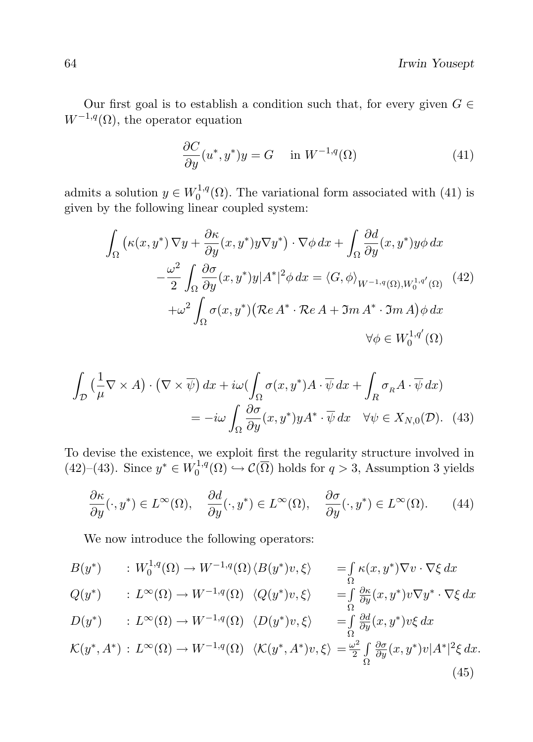Our first goal is to establish a condition such that, for every given  $G \in$  $W^{-1,q}(\Omega)$ , the operator equation

$$
\frac{\partial C}{\partial y}(u^*, y^*)y = G \quad \text{in } W^{-1,q}(\Omega)
$$
\n(41)

admits a solution  $y \in W_0^{1,q}$  $0^{1,q}(\Omega)$ . The variational form associated with (41) is given by the following linear coupled system:

$$
\int_{\Omega} \left( \kappa(x, y^*) \nabla y + \frac{\partial \kappa}{\partial y} (x, y^*) y \nabla y^* \right) \cdot \nabla \phi \, dx + \int_{\Omega} \frac{\partial d}{\partial y} (x, y^*) y \phi \, dx \n- \frac{\omega^2}{2} \int_{\Omega} \frac{\partial \sigma}{\partial y} (x, y^*) y |A^*|^2 \phi \, dx = \langle G, \phi \rangle_{W^{-1,q}(\Omega), W_0^{1,q'}(\Omega)} \quad (42) \n+ \omega^2 \int_{\Omega} \sigma(x, y^*) \left( \mathcal{R}e \, A^* \cdot \mathcal{R}e \, A + \mathfrak{Im} \, A^* \cdot \mathfrak{Im} \, A \right) \phi \, dx \n\forall \phi \in W_0^{1,q'}(\Omega)
$$

$$
\int_{\mathcal{D}} \left( \frac{1}{\mu} \nabla \times A \right) \cdot \left( \nabla \times \overline{\psi} \right) dx + i\omega \left( \int_{\Omega} \sigma(x, y^*) A \cdot \overline{\psi} \, dx + \int_{R} \sigma_R A \cdot \overline{\psi} \, dx \right)
$$
\n
$$
= -i\omega \int_{\Omega} \frac{\partial \sigma}{\partial y} (x, y^*) y A^* \cdot \overline{\psi} \, dx \quad \forall \psi \in X_{N,0}(\mathcal{D}). \tag{43}
$$

To devise the existence, we exploit first the regularity structure involved in  $(42)$ – $(43)$ . Since  $y^* \in W_0^{1,q}$  $\mathcal{O}_0^{1,q}(\Omega) \hookrightarrow \mathcal{C}(\Omega)$  holds for  $q > 3$ , Assumption 3 yields

$$
\frac{\partial \kappa}{\partial y}(\cdot, y^*) \in L^{\infty}(\Omega), \quad \frac{\partial d}{\partial y}(\cdot, y^*) \in L^{\infty}(\Omega), \quad \frac{\partial \sigma}{\partial y}(\cdot, y^*) \in L^{\infty}(\Omega). \tag{44}
$$

We now introduce the following operators:

$$
B(y^*) \qquad : W_0^{1,q}(\Omega) \to W^{-1,q}(\Omega) \langle B(y^*)v, \xi \rangle \qquad = \int_{\Omega} \kappa(x, y^*) \nabla v \cdot \nabla \xi \, dx
$$
  

$$
Q(y^*) \qquad : L^{\infty}(\Omega) \to W^{-1,q}(\Omega) \quad \langle Q(y^*)v, \xi \rangle \qquad = \int_{\Omega} \frac{\partial \kappa}{\partial y}(x, y^*)v \nabla y^* \cdot \nabla \xi \, dx
$$
  

$$
D(y^*) \qquad : L^{\infty}(\Omega) \to W^{-1,q}(\Omega) \quad \langle D(y^*)v, \xi \rangle \qquad = \int_{\Omega} \frac{\partial d}{\partial y}(x, y^*)v \xi \, dx
$$
  

$$
\mathcal{K}(y^*, A^*) \, : L^{\infty}(\Omega) \to W^{-1,q}(\Omega) \quad \langle \mathcal{K}(y^*, A^*)v, \xi \rangle = \frac{\omega^2}{2} \int_{\Omega} \frac{\partial \sigma}{\partial y}(x, y^*)v |A^*|^2 \xi \, dx.
$$
  
(45)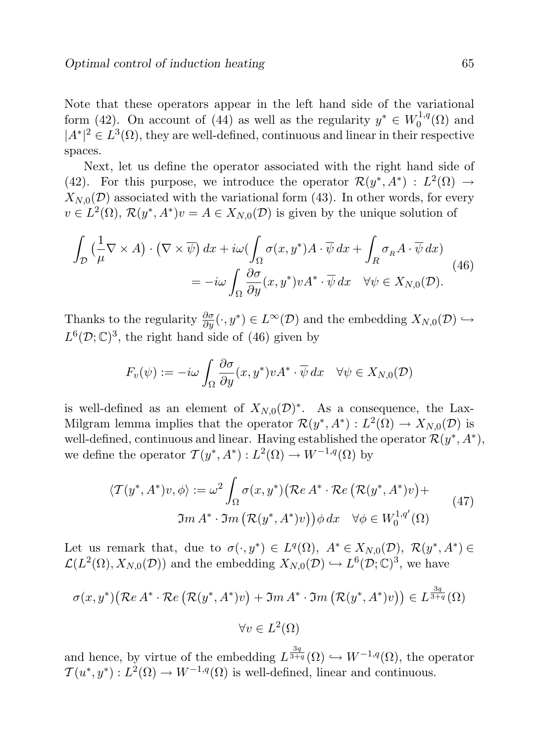Note that these operators appear in the left hand side of the variational form (42). On account of (44) as well as the regularity  $y^* \in W_0^{1,q}$  $\eta^{1,q}(\Omega)$  and  $|A^*|^2 \in L^3(\Omega)$ , they are well-defined, continuous and linear in their respective spaces.

Next, let us define the operator associated with the right hand side of (42). For this purpose, we introduce the operator  $\mathcal{R}(y^*, A^*) : L^2(\Omega) \to$  $X_{N,0}(\mathcal{D})$  associated with the variational form (43). In other words, for every  $v \in L^2(\Omega)$ ,  $\mathcal{R}(y^*, A^*)v = A \in X_{N,0}(\mathcal{D})$  is given by the unique solution of

$$
\int_{\mathcal{D}} \left( \frac{1}{\mu} \nabla \times A \right) \cdot \left( \nabla \times \overline{\psi} \right) dx + i\omega \left( \int_{\Omega} \sigma(x, y^*) A \cdot \overline{\psi} \, dx + \int_{R} \sigma_R A \cdot \overline{\psi} \, dx \right) \n= -i\omega \int_{\Omega} \frac{\partial \sigma}{\partial y} (x, y^*) \nu A^* \cdot \overline{\psi} \, dx \quad \forall \psi \in X_{N,0}(\mathcal{D}).
$$
\n(46)

Thanks to the regularity  $\frac{\partial \sigma}{\partial y}(\cdot, y^*) \in L^{\infty}(\mathcal{D})$  and the embedding  $X_{N,0}(\mathcal{D}) \hookrightarrow$  $L^6(\mathcal{D}; \mathbb{C})^3$ , the right hand side of (46) given by

$$
F_v(\psi) := -i\omega \int_{\Omega} \frac{\partial \sigma}{\partial y}(x, y^*) v A^* \cdot \overline{\psi} dx \quad \forall \psi \in X_{N,0}(\mathcal{D})
$$

is well-defined as an element of  $X_{N,0}(\mathcal{D})^*$ . As a consequence, the Lax-Milgram lemma implies that the operator  $\mathcal{R}(y^*, A^*) : L^2(\Omega) \to X_{N,0}(\mathcal{D})$  is well-defined, continuous and linear. Having established the operator  $\mathcal{R}(y^*, A^*)$ , we define the operator  $\mathcal{T}(y^*, A^*) : L^2(\Omega) \to W^{-1,q}(\Omega)$  by

$$
\langle \mathcal{T}(y^*, A^*)v, \phi \rangle := \omega^2 \int_{\Omega} \sigma(x, y^*) \big( \mathcal{R}e \, A^* \cdot \mathcal{R}e \, \big( \mathcal{R}(y^*, A^*)v \big) + \\ \mathfrak{Im} \, A^* \cdot \mathfrak{Im} \, \big( \mathcal{R}(y^*, A^*)v \big) \big) \phi \, dx \quad \forall \phi \in W_0^{1,q'}(\Omega)
$$
 (47)

Let us remark that, due to  $\sigma(\cdot, y^*) \in L^q(\Omega)$ ,  $A^* \in X_{N,0}(\mathcal{D})$ ,  $\mathcal{R}(y^*, A^*) \in$  $\mathcal{L}(L^2(\Omega), X_{N,0}(\mathcal{D}))$  and the embedding  $X_{N,0}(\mathcal{D}) \hookrightarrow L^6(\mathcal{D}; \mathbb{C})^3$ , we have

$$
\sigma(x, y^*) (\mathcal{R}e A^* \cdot \mathcal{R}e (\mathcal{R}(y^*, A^*)v) + \Im m A^* \cdot \Im m (\mathcal{R}(y^*, A^*)v)) \in L^{\frac{3q}{3+q}}(\Omega)
$$
  

$$
\forall v \in L^2(\Omega)
$$

and hence, by virtue of the embedding  $L^{\frac{3q}{3+q}}(\Omega) \hookrightarrow W^{-1,q}(\Omega)$ , the operator  $\mathcal{T}(u^*, y^*) : L^2(\Omega) \to W^{-1,q}(\Omega)$  is well-defined, linear and continuous.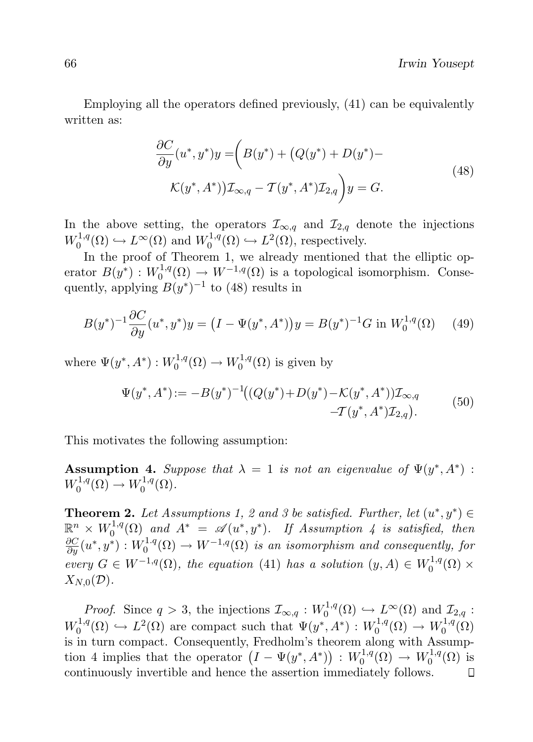Employing all the operators defined previously, (41) can be equivalently written as:

$$
\frac{\partial C}{\partial y}(u^*, y^*)y = \left(B(y^*) + \left(Q(y^*) + D(y^*) - K(y^*, A^*)\right)\right)\mathcal{I}_{\infty, q} - T(y^*, A^*)\mathcal{I}_{2,q}\right)y = G.
$$
\n(48)

In the above setting, the operators  $\mathcal{I}_{\infty,q}$  and  $\mathcal{I}_{2,q}$  denote the injections  $W_0^{1,q}$  $L^{1,q}(\Omega) \hookrightarrow L^{\infty}(\Omega)$  and  $W_0^{1,q}$  $L^1,q(\Omega) \hookrightarrow L^2(\Omega)$ , respectively.

In the proof of Theorem 1, we already mentioned that the elliptic operator  $B(y^*)$ :  $W_0^{1,q}$  $V_0^{1,q}(\Omega) \to W^{-1,q}(\Omega)$  is a topological isomorphism. Consequently, applying  $B(y^*)^{-1}$  to (48) results in

$$
B(y^*)^{-1}\frac{\partial C}{\partial y}(u^*,y^*)y = \left(I - \Psi(y^*,A^*)\right)y = B(y^*)^{-1}G \text{ in } W_0^{1,q}(\Omega) \tag{49}
$$

where  $\Psi(y^*,A^*)$  :  $W_0^{1,q}$  $V_0^{1,q}(\Omega) \to W_0^{1,q}$  $\zeta_0^{1,q}(\Omega)$  is given by

$$
\Psi(y^*, A^*) := -B(y^*)^{-1} \left( (Q(y^*) + D(y^*) - \mathcal{K}(y^*, A^*)) \mathcal{I}_{\infty, q} - \mathcal{I}(y^*, A^*) \mathcal{I}_{2,q} \right). \tag{50}
$$

This motivates the following assumption:

**Assumption 4.** Suppose that  $\lambda = 1$  is not an eigenvalue of  $\Psi(y^*, A^*)$ :  $W_0^{1,q}$  $V_0^{1,q}(\Omega) \to W_0^{1,q}$  $\mathfrak{g}^{1,q}_0(\Omega)$ .

**Theorem 2.** Let Assumptions 1, 2 and 3 be satisfied. Further, let  $(u^*, y^*) \in$  $\mathbb{R}^n \times W_0^{1,q}$  $\int_0^{1,q}(\Omega)$  and  $A^* = \mathscr{A}(u^*, y^*)$ . If Assumption 4 is satisfied, then  $\frac{\partial C}{\partial y}(u^*,y^*) : W_0^{1.q}$  $\chi_0^{1,q}(\Omega) \to W^{-1,q}(\Omega)$  is an isomorphism and consequently, for every  $G \in W^{-1,q}(\Omega)$ , the equation (41) has a solution  $(y, A) \in W_0^{1,q}$  $\chi_0^{1,q}(\Omega)$   $\times$  $X_{N,0}(\mathcal{D}).$ 

*Proof.* Since  $q > 3$ , the injections  $\mathcal{I}_{\infty,q} : W_0^{1,q}$  $\mathcal{I}_0^{1,q}(\Omega) \hookrightarrow L^{\infty}(\Omega)$  and  $\mathcal{I}_{2,q}$ :  $W_0^{1,q}$  $L^{1,q}(\Omega) \hookrightarrow L^2(\Omega)$  are compact such that  $\Psi(y^*, A^*) : W_0^{1,q}$  $W_0^{1,q}(\Omega) \to W_0^{1,q}$  $\zeta_0^{1,q}(\Omega)$ is in turn compact. Consequently, Fredholm's theorem along with Assumption 4 implies that the operator  $(I - \Psi(y^*, A^*)) : W_0^{1,q}$  $W_0^{1,q}(\Omega) \to W_0^{1,q}$  $\zeta_0^{1,q}(\Omega)$  is continuously invertible and hence the assertion immediately follows. $\Box$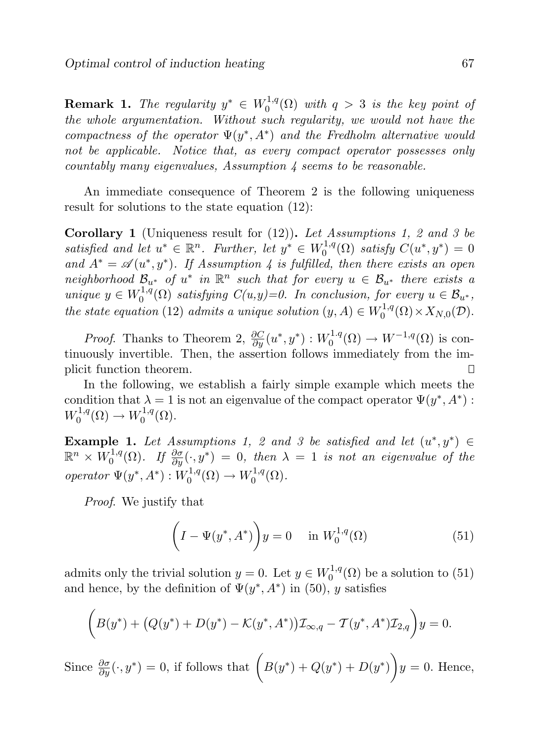**Remark 1.** The regularity  $y^* \in W_0^{1,q}$  $\int_0^{1,q}(\Omega)$  with  $q > 3$  is the key point of the whole argumentation. Without such regularity, we would not have the compactness of the operator  $\Psi(y^*,A^*)$  and the Fredholm alternative would not be applicable. Notice that, as every compact operator possesses only countably many eigenvalues, Assumption  $\lambda$  seems to be reasonable.

An immediate consequence of Theorem 2 is the following uniqueness result for solutions to the state equation (12):

**Corollary 1** (Uniqueness result for  $(12)$ ). Let Assumptions 1, 2 and 3 be satisfied and let  $u^* \in \mathbb{R}^n$ . Further, let  $y^* \in W_0^{1,q}$  $C_0^{1,q}(\Omega)$  satisfy  $C(u^*, y^*) = 0$ and  $A^* = \mathscr{A}(u^*, y^*)$ . If Assumption 4 is fulfilled, then there exists an open neighborhood  $\mathcal{B}_{u^*}$  of  $u^*$  in  $\mathbb{R}^n$  such that for every  $u \in \mathcal{B}_{u^*}$  there exists a unique  $y \in W_0^{1,q}$  $C^{1,q}(\Omega)$  satisfying  $C(u,y)=0$ . In conclusion, for every  $u \in \mathcal{B}_{u^*}$ , the state equation (12) admits a unique solution  $(y, A) \in W_0^{1,q}$  $C_0^{1,q}(\Omega)\times X_{N,0}(\mathcal{D}).$ 

*Proof.* Thanks to Theorem 2,  $\frac{\partial C}{\partial y}(u^*, y^*) : W_0^{1,q}$  $\chi_0^{1,q}(\Omega) \to W^{-1,q}(\Omega)$  is continuously invertible. Then, the assertion follows immediately from the implicit function theorem. П

In the following, we establish a fairly simple example which meets the condition that  $\lambda = 1$  is not an eigenvalue of the compact operator  $\Psi(y^*, A^*)$ :  $W_0^{1,q}$  $V_0^{1,q}(\Omega) \to W_0^{1,q}$  $\mathfrak{g}_0^{1,q}(\Omega).$ 

**Example 1.** Let Assumptions 1, 2 and 3 be satisfied and let  $(u^*, y^*) \in$  $\mathbb{R}^n\times \overset{-}{W}^{1,q}_0$  $\delta_0^{1,q}(\Omega)$ . If  $\frac{\partial \sigma}{\partial y}(\cdot,y^*) = 0$ , then  $\lambda = 1$  is not an eigenvalue of the operator  $\Psi(y^*,A^*) : W_0^{1,q}$  $V_0^{1,q}(\Omega) \to W_0^{1,q}$  $\zeta_0^{1,q}(\Omega)$ .

Proof. We justify that

$$
\left(I - \Psi(y^*, A^*)\right)y = 0 \quad \text{in } W_0^{1,q}(\Omega)
$$
\n
$$
(51)
$$

admits only the trivial solution  $y = 0$ . Let  $y \in W_0^{1,q}$  $\chi_0^{1,q}(\Omega)$  be a solution to  $(51)$ and hence, by the definition of  $\Psi(y^*, A^*)$  in (50), y satisfies

$$
(B(y^*) + (Q(y^*) + D(y^*) - \mathcal{K}(y^*, A^*))\mathcal{I}_{\infty,q} - \mathcal{T}(y^*, A^*)\mathcal{I}_{2,q})y = 0.
$$

Since  $\frac{\partial \sigma}{\partial y}(\cdot, y^*) = 0$ , if follows that  $\left(B(y^*) + Q(y^*) + D(y^*)\right)y = 0$ . Hence,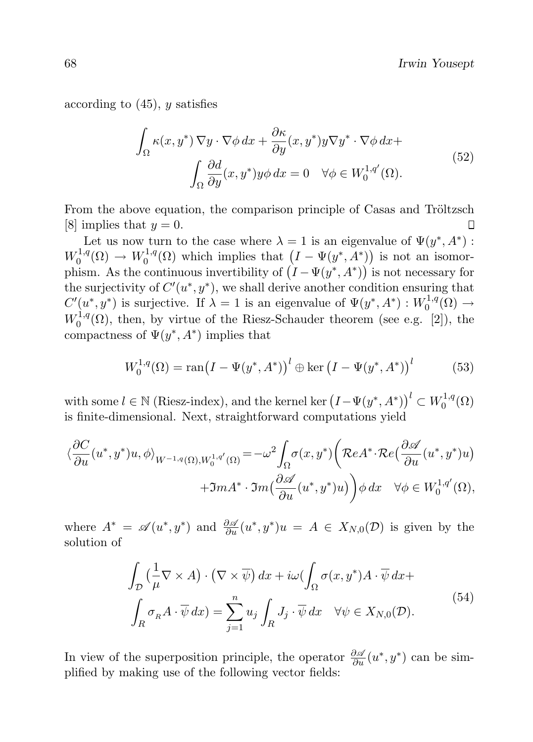according to  $(45)$ , y satisfies

$$
\int_{\Omega} \kappa(x, y^*) \nabla y \cdot \nabla \phi \, dx + \frac{\partial \kappa}{\partial y}(x, y^*) y \nabla y^* \cdot \nabla \phi \, dx +
$$
\n
$$
\int_{\Omega} \frac{\partial d}{\partial y}(x, y^*) y \phi \, dx = 0 \quad \forall \phi \in W_0^{1, q'}(\Omega). \tag{52}
$$

From the above equation, the comparison principle of Casas and Tröltzsch [8] implies that  $y = 0$ .  $\Box$ 

Let us now turn to the case where  $\lambda = 1$  is an eigenvalue of  $\Psi(y^*, A^*)$ :  $W_0^{1,q}$  $W_0^{1,q}(\Omega) \to W_0^{1,q}$  $\int_0^{1,q}(\Omega)$  which implies that  $(I - \Psi(y^*, A^*))$  is not an isomorphism. As the continuous invertibility of  $(I - \Psi(y^*, A^*))$  is not necessary for the surjectivity of  $C'(u^*, y^*)$ , we shall derive another condition ensuring that  $C'(u^*, y^*)$  is surjective. If  $\lambda = 1$  is an eigenvalue of  $\Psi(y^*, A^*) : W_0^{1,q}$  $\eta^{1,q}(\Omega) \rightarrow$  $W_0^{1,q}$  $0^{1,q}(\Omega)$ , then, by virtue of the Riesz-Schauder theorem (see e.g. [2]), the compactness of  $\Psi(y^*, A^*)$  implies that

$$
W_0^{1,q}(\Omega) = \text{ran}(I - \Psi(y^*, A^*))^l \oplus \text{ker}(I - \Psi(y^*, A^*))^l
$$
 (53)

with some  $l \in \mathbb{N}$  (Riesz-index), and the kernel ker  $(I - \Psi(y^*, A^*))^l \subset W_0^{1,q}$  $\mathfrak{c}_0^{1,q}(\Omega)$ is finite-dimensional. Next, straightforward computations yield

$$
\langle \frac{\partial C}{\partial u}(u^*, y^*)u, \phi \rangle_{W^{-1,q}(\Omega), W_0^{1,q'}(\Omega)} = -\omega^2 \int_{\Omega} \sigma(x, y^*) \left( \mathcal{R}e^{A^*} \cdot \mathcal{R}e\left(\frac{\partial \mathscr{A}}{\partial u}(u^*, y^*)u\right) \right. \\ \left. + \mathfrak{I}m A^* \cdot \mathfrak{I}m\left(\frac{\partial \mathscr{A}}{\partial u}(u^*, y^*)u\right) \right) \phi \, dx \quad \forall \phi \in W_0^{1,q'}(\Omega),
$$

where  $A^* = \mathscr{A}(u^*, y^*)$  and  $\frac{\partial \mathscr{A}}{\partial u}(u^*, y^*)u = A \in X_{N,0}(\mathcal{D})$  is given by the solution of

$$
\int_{\mathcal{D}} \left( \frac{1}{\mu} \nabla \times A \right) \cdot \left( \nabla \times \overline{\psi} \right) dx + i\omega \left( \int_{\Omega} \sigma(x, y^*) A \cdot \overline{\psi} \, dx + \int_{R} \sigma_R A \cdot \overline{\psi} \, dx \right) = \sum_{j=1}^{n} u_j \int_{R} J_j \cdot \overline{\psi} \, dx \quad \forall \psi \in X_{N,0}(\mathcal{D}).
$$
\n(54)

In view of the superposition principle, the operator  $\frac{\partial \mathscr{A}}{\partial u}(u^*, y^*)$  can be simplified by making use of the following vector fields: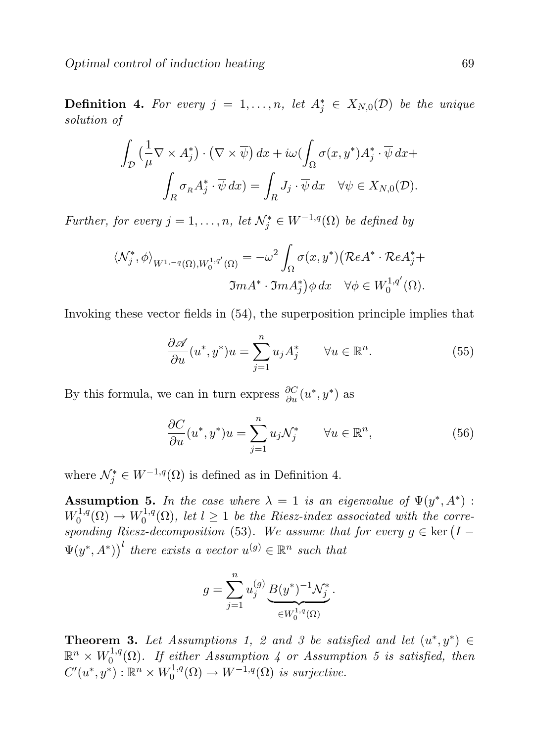**Definition 4.** For every  $j = 1, ..., n$ , let  $A_j^* \in X_{N,0}(\mathcal{D})$  be the unique solution of

$$
\int_{\mathcal{D}} \left( \frac{1}{\mu} \nabla \times A_j^* \right) \cdot \left( \nabla \times \overline{\psi} \right) dx + i\omega \left( \int_{\Omega} \sigma(x, y^*) A_j^* \cdot \overline{\psi} \, dx + \int_{R} \sigma_R A_j^* \cdot \overline{\psi} \, dx \right) = \int_{R} J_j \cdot \overline{\psi} \, dx \quad \forall \psi \in X_{N,0}(\mathcal{D}).
$$

Further, for every  $j = 1, \ldots, n$ , let  $\mathcal{N}_j^* \in W^{-1,q}(\Omega)$  be defined by

$$
\langle \mathcal{N}_j^*, \phi \rangle_{W^{1, -q}(\Omega), W_0^{1, q'}(\Omega)} = -\omega^2 \int_{\Omega} \sigma(x, y^*) (\mathcal{R}eA^* \cdot \mathcal{R}eA_j^* + \mathfrak{Im}A_j^*) \phi \, dx \quad \forall \phi \in W_0^{1, q'}(\Omega).
$$

Invoking these vector fields in (54), the superposition principle implies that

$$
\frac{\partial \mathscr{A}}{\partial u}(u^*, y^*)u = \sum_{j=1}^n u_j A_j^* \qquad \forall u \in \mathbb{R}^n.
$$
 (55)

By this formula, we can in turn express  $\frac{\partial C}{\partial u}(u^*, y^*)$  as

$$
\frac{\partial C}{\partial u}(u^*, y^*)u = \sum_{j=1}^n u_j \mathcal{N}_j^* \qquad \forall u \in \mathbb{R}^n,
$$
\n(56)

where  $\mathcal{N}_{j}^{*} \in W^{-1,q}(\Omega)$  is defined as in Definition 4.

**Assumption 5.** In the case where  $\lambda = 1$  is an eigenvalue of  $\Psi(y^*, A^*)$ :  $W_0^{1,q}$  $V_0^{1,q}(\Omega) \to W_0^{1,q}$  $\int_0^{1,q}(\Omega)$ , let  $l \geq 1$  be the Riesz-index associated with the corresponding Riesz-decomposition (53). We assume that for every  $g \in \text{ker} (I \Psi(y^*, A^*)^l$  there exists a vector  $u^{(g)} \in \mathbb{R}^n$  such that

$$
g = \sum_{j=1}^{n} u_j^{(g)} \underbrace{B(y^*)^{-1} \mathcal{N}_j^*}_{\in W_0^{1,q}(\Omega)}.
$$

**Theorem 3.** Let Assumptions 1, 2 and 3 be satisfied and let  $(u^*, y^*) \in$  $\mathbb{R}^n \times W_0^{1,q}$  $\mathcal{O}_0^{1,q}(\Omega)$ . If either Assumption 4 or Assumption 5 is satisfied, then  $C'(u^*, y^*) : \mathbb{R}^n \times W_0^{1,q}$  $v_0^{1,q}(\Omega) \to W^{-1,q}(\Omega)$  is surjective.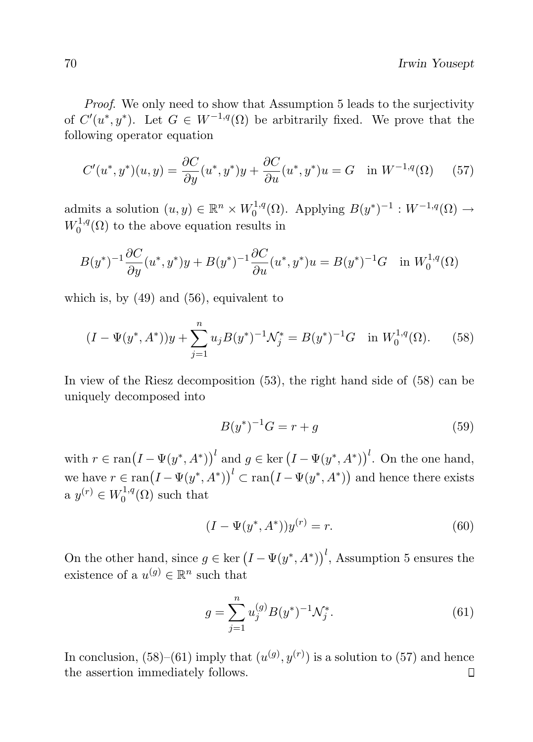Proof. We only need to show that Assumption 5 leads to the surjectivity of  $C'(u^*, y^*)$ . Let  $G \in W^{-1,q}(\Omega)$  be arbitrarily fixed. We prove that the following operator equation

$$
C'(u^*, y^*)(u, y) = \frac{\partial C}{\partial y}(u^*, y^*)y + \frac{\partial C}{\partial u}(u^*, y^*)u = G \text{ in } W^{-1,q}(\Omega) \quad (57)
$$

admits a solution  $(u, y) \in \mathbb{R}^n \times W_0^{1,q}$  $b_0^{1,q}(\Omega)$ . Applying  $B(y^*)^{-1}: W^{-1,q}(\Omega) \to$  $W_0^{1,q}$  $0^{1,q}(\Omega)$  to the above equation results in

$$
B(y^*)^{-1}\frac{\partial C}{\partial y}(u^*,y^*)y + B(y^*)^{-1}\frac{\partial C}{\partial u}(u^*,y^*)u = B(y^*)^{-1}G \text{ in } W_0^{1,q}(\Omega)
$$

which is, by  $(49)$  and  $(56)$ , equivalent to

$$
(I - \Psi(y^*, A^*))y + \sum_{j=1}^n u_j B(y^*)^{-1} \mathcal{N}_j^* = B(y^*)^{-1} G \quad \text{in } W_0^{1,q}(\Omega). \tag{58}
$$

In view of the Riesz decomposition (53), the right hand side of (58) can be uniquely decomposed into

$$
B(y^*)^{-1}G = r + g \tag{59}
$$

with  $r \in \text{ran}(I - \Psi(y^*, A^*))^l$  and  $g \in \text{ker}(I - \Psi(y^*, A^*))^l$ . On the one hand, we have  $r \in \text{ran}(I - \Psi(y^*, A^*))^l \subset \text{ran}(I - \Psi(y^*, A^*))$  and hence there exists a  $y^{(r)} \in W_0^{1,q}$  $C^{1,q}(\Omega)$  such that

$$
(I - \Psi(y^*, A^*))y^{(r)} = r.
$$
\n(60)

On the other hand, since  $g \in \text{ker} (I - \Psi(y^*, A^*))^l$ , Assumption 5 ensures the existence of a  $u^{(g)} \in \mathbb{R}^n$  such that

$$
g = \sum_{j=1}^{n} u_j^{(g)} B(y^*)^{-1} \mathcal{N}_j^*.
$$
 (61)

In conclusion,  $(58)$ – $(61)$  imply that  $(u^{(g)}, y^{(r)})$  is a solution to  $(57)$  and hence the assertion immediately follows. $\Box$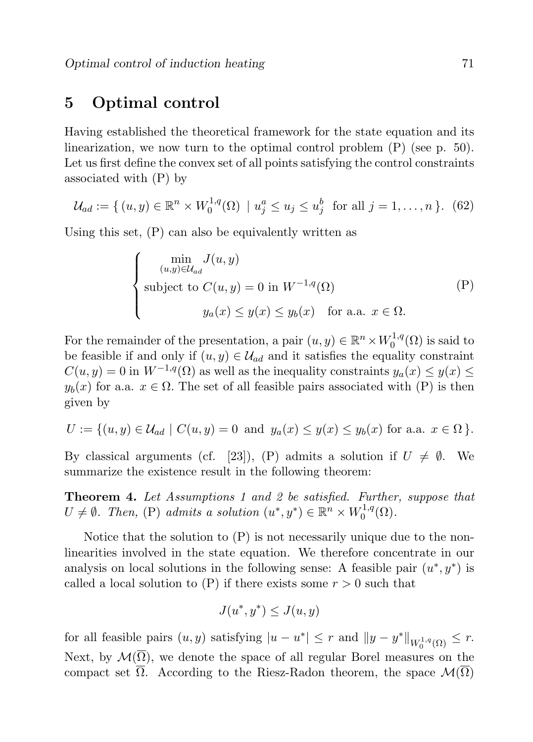## 5 Optimal control

Having established the theoretical framework for the state equation and its linearization, we now turn to the optimal control problem (P) (see p. 50). Let us first define the convex set of all points satisfying the control constraints associated with (P) by

$$
\mathcal{U}_{ad} := \{ (u, y) \in \mathbb{R}^n \times W_0^{1,q}(\Omega) \mid u_j^a \le u_j \le u_j^b \text{ for all } j = 1, ..., n \}. (62)
$$

Using this set, (P) can also be equivalently written as

$$
\begin{cases}\n\min_{(u,y)\in\mathcal{U}_{ad}} J(u,y) \\
\text{subject to } C(u,y) = 0 \text{ in } W^{-1,q}(\Omega) \\
y_a(x) \le y(x) \le y_b(x) \quad \text{for a.a. } x \in \Omega.\n\end{cases} (P)
$$

For the remainder of the presentation, a pair  $(u, y) \in \mathbb{R}^n \times W_0^{1,q}$  $\binom{1}{0}$  ( $\Omega$ ) is said to be feasible if and only if  $(u, y) \in \mathcal{U}_{ad}$  and it satisfies the equality constraint  $C(u, y) = 0$  in  $W^{-1,q}(\Omega)$  as well as the inequality constraints  $y_a(x) \leq y(x) \leq$  $y_b(x)$  for a.a.  $x \in \Omega$ . The set of all feasible pairs associated with (P) is then given by

$$
U := \{(u, y) \in \mathcal{U}_{ad} \mid C(u, y) = 0 \text{ and } y_a(x) \le y(x) \le y_b(x) \text{ for a.a. } x \in \Omega \}.
$$

By classical arguments (cf. [23]), (P) admits a solution if  $U \neq \emptyset$ . We summarize the existence result in the following theorem:

Theorem 4. Let Assumptions 1 and 2 be satisfied. Further, suppose that  $U \neq \emptyset$ . Then, (P) admits a solution  $(u^*, y^*) \in \mathbb{R}^n \times W_0^{1,q}$  $\mathcal{O}^{1,q}(\Omega).$ 

Notice that the solution to (P) is not necessarily unique due to the nonlinearities involved in the state equation. We therefore concentrate in our analysis on local solutions in the following sense: A feasible pair  $(u^*, y^*)$  is called a local solution to  $(P)$  if there exists some  $r > 0$  such that

$$
J(u^*, y^*) \le J(u, y)
$$

for all feasible pairs  $(u, y)$  satisfying  $|u - u^*| \leq r$  and  $||y - y^*||_{W_0^{1,q}(\Omega)} \leq r$ . Next, by  $\mathcal{M}(\overline{\Omega})$ , we denote the space of all regular Borel measures on the compact set  $\Omega$ . According to the Riesz-Radon theorem, the space  $\mathcal{M}(\Omega)$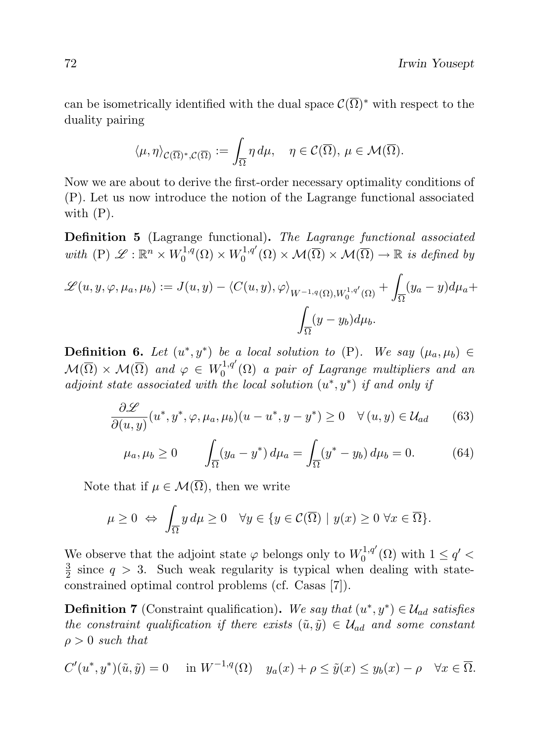can be isometrically identified with the dual space  $\mathcal{C}(\overline{\Omega})^*$  with respect to the duality pairing

$$
\langle \mu, \eta \rangle_{\mathcal{C}(\overline{\Omega})^*, \mathcal{C}(\overline{\Omega})} := \int_{\overline{\Omega}} \eta \, d\mu, \quad \eta \in \mathcal{C}(\overline{\Omega}), \, \mu \in \mathcal{M}(\overline{\Omega}).
$$

Now we are about to derive the first-order necessary optimality conditions of (P). Let us now introduce the notion of the Lagrange functional associated with (P).

Definition 5 (Lagrange functional). The Lagrange functional associated with  $(P) \mathscr{L} : \mathbb{R}^n \times W_0^{1,q}$  $W_0^{1,q}(\Omega)\times W_0^{1,q'}$  $\chi_0^{1,q'}(\Omega) \times \mathcal{M}(\overline{\Omega}) \times \mathcal{M}(\overline{\Omega}) \to \mathbb{R}$  is defined by

$$
\mathscr{L}(u, y, \varphi, \mu_a, \mu_b) := J(u, y) - \langle C(u, y), \varphi \rangle_{W^{-1,q}(\Omega), W_0^{1,q'}(\Omega)} + \int_{\overline{\Omega}} (y_a - y) d\mu_a + \int_{\overline{\Omega}} (y - y_b) d\mu_b.
$$

**Definition 6.** Let  $(u^*, y^*)$  be a local solution to  $(P)$ . We say  $(\mu_a, \mu_b) \in$  $\mathcal{M}(\overline{\Omega}) \times \mathcal{M}(\overline{\Omega})$  and  $\varphi \in W_0^{1,q'}$  $\mathcal{O}_0^{1,q}\left(\Omega\right)$  a pair of Lagrange multipliers and an adjoint state associated with the local solution  $(u^*, y^*)$  if and only if

$$
\frac{\partial \mathcal{L}}{\partial(u,y)}(u^*,y^*,\varphi,\mu_a,\mu_b)(u-u^*,y-y^*) \ge 0 \quad \forall (u,y) \in \mathcal{U}_{ad} \tag{63}
$$

$$
\mu_a, \mu_b \ge 0
$$
\n
$$
\int_{\overline{\Omega}} (y_a - y^*) d\mu_a = \int_{\overline{\Omega}} (y^* - y_b) d\mu_b = 0.
$$
\n(64)

Note that if  $\mu \in \mathcal{M}(\overline{\Omega})$ , then we write

$$
\mu \ge 0 \Leftrightarrow \int_{\overline{\Omega}} y \, d\mu \ge 0 \quad \forall y \in \{ y \in \mathcal{C}(\overline{\Omega}) \mid y(x) \ge 0 \,\,\forall x \in \overline{\Omega} \}.
$$

We observe that the adjoint state  $\varphi$  belongs only to  $W_0^{1,q'}$  $\chi_0^{1,q'}(\Omega)$  with  $1 \le q' <$ 3  $\frac{3}{2}$  since  $q > 3$ . Such weak regularity is typical when dealing with stateconstrained optimal control problems (cf. Casas [7]).

**Definition 7** (Constraint qualification). We say that  $(u^*, y^*) \in \mathcal{U}_{ad}$  satisfies the constraint qualification if there exists  $(\tilde{u}, \tilde{y}) \in \mathcal{U}_{ad}$  and some constant  $\rho > 0$  such that

$$
C'(u^*, y^*)(\tilde{u}, \tilde{y}) = 0 \quad \text{in } W^{-1,q}(\Omega) \quad y_a(x) + \rho \le \tilde{y}(x) \le y_b(x) - \rho \quad \forall x \in \overline{\Omega}.
$$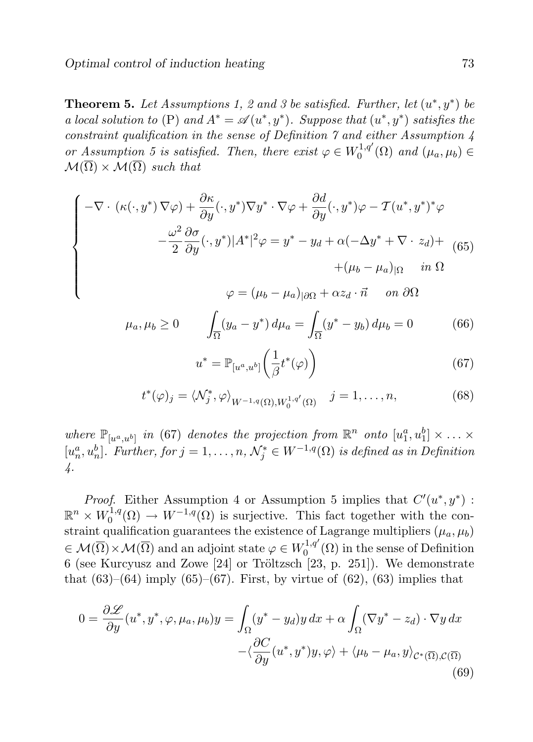**Theorem 5.** Let Assumptions 1, 2 and 3 be satisfied. Further, let  $(u^*, y^*)$  be a local solution to (P) and  $A^* = \mathscr{A}(u^*, y^*)$ . Suppose that  $(u^*, y^*)$  satisfies the constraint qualification in the sense of Definition 7 and either Assumption 4 or Assumption 5 is satisfied. Then, there exist  $\varphi \in W_0^{1,q'}$  $C_0^{1,q}(\Omega)$  and  $(\mu_a, \mu_b) \in$  $\mathcal{M}(\overline{\Omega}) \times \mathcal{M}(\overline{\Omega})$  such that

$$
\begin{cases}\n-\nabla \cdot (\kappa(\cdot, y^*) \nabla \varphi) + \frac{\partial \kappa}{\partial y}(\cdot, y^*) \nabla y^* \cdot \nabla \varphi + \frac{\partial d}{\partial y}(\cdot, y^*) \varphi - \mathcal{T}(u^*, y^*)^* \varphi \\
-\frac{\omega^2}{2} \frac{\partial \sigma}{\partial y}(\cdot, y^*) |A^*|^2 \varphi = y^* - y_d + \alpha(-\Delta y^* + \nabla \cdot z_d) + \\
+(\mu_b - \mu_a)_{|\Omega} \quad in \ \Omega \\
\varphi = (\mu_b - \mu_a)_{|\partial\Omega} + \alpha z_d \cdot \vec{n} \quad on \ \partial\Omega\n\end{cases}
$$

 $\varphi = (\mu_b - \mu_a)_{|\partial\Omega} + \alpha z_d \cdot \vec{n}$  on  $\partial\Omega$ 

$$
\mu_a, \mu_b \ge 0
$$
\n
$$
\int_{\overline{\Omega}} (y_a - y^*) d\mu_a = \int_{\overline{\Omega}} (y^* - y_b) d\mu_b = 0
$$
\n(66)

$$
u^* = \mathbb{P}_{[u^a, u^b]} \left(\frac{1}{\beta} t^*(\varphi)\right) \tag{67}
$$

$$
t^*(\varphi)_j = \langle \mathcal{N}_j^*, \varphi \rangle_{W^{-1,q}(\Omega), W_0^{1,q'}(\Omega)} \quad j = 1, \dots, n,
$$
\n(68)

where  $\mathbb{P}_{[u^a, u^b]}$  in (67) denotes the projection from  $\mathbb{R}^n$  onto  $[u_1^a, u_1^b] \times \ldots \times$  $[u_n^a, u_n^b]$ . Further, for  $j = 1, \ldots, n$ ,  $\mathcal{N}_j^* \in W^{-1,q}(\Omega)$  is defined as in Definition 4.

*Proof.* Either Assumption 4 or Assumption 5 implies that  $C'(u^*, y^*)$ :  $\mathbb{R}^n \times W_0^{1,q}$  $v_0^{1,q}(\Omega) \to W^{-1,q}(\Omega)$  is surjective. This fact together with the constraint qualification guarantees the existence of Lagrange multipliers  $(\mu_a, \mu_b)$  $\overline{\Theta} \in \mathcal{M}(\overline{\Omega}) \times \mathcal{M}(\overline{\Omega})$  and an adjoint state  $\varphi \in W_0^{1,q'}$  $\int_0^{1,q}$  ( $\Omega$ ) in the sense of Definition 6 (see Kurcyusz and Zowe  $[24]$  or Tröltzsch  $[23, p. 251]$ ). We demonstrate that  $(63)$ – $(64)$  imply  $(65)$ – $(67)$ . First, by virtue of  $(62)$ ,  $(63)$  implies that

$$
0 = \frac{\partial \mathcal{L}}{\partial y}(u^*, y^*, \varphi, \mu_a, \mu_b)y = \int_{\Omega} (y^* - y_d)y \, dx + \alpha \int_{\Omega} (\nabla y^* - z_d) \cdot \nabla y \, dx - \langle \frac{\partial C}{\partial y}(u^*, y^*)y, \varphi \rangle + \langle \mu_b - \mu_a, y \rangle_{\mathcal{C}^*(\overline{\Omega}), \mathcal{C}(\overline{\Omega})}
$$
(69)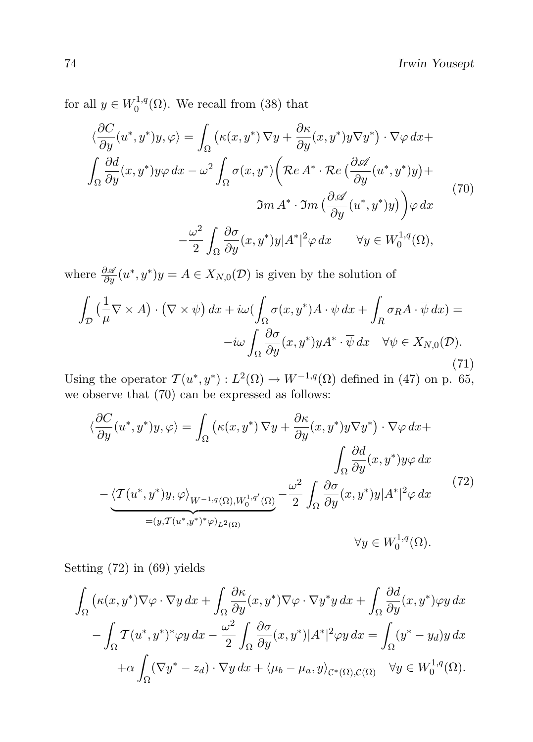for all  $y \in W_0^{1,q}$  $_{0}^{1,q}(\Omega)$ . We recall from (38) that

$$
\langle \frac{\partial C}{\partial y}(u^*, y^*)y, \varphi \rangle = \int_{\Omega} \left( \kappa(x, y^*) \nabla y + \frac{\partial \kappa}{\partial y}(x, y^*)y \nabla y^* \right) \cdot \nabla \varphi \, dx +
$$

$$
\int_{\Omega} \frac{\partial d}{\partial y}(x, y^*)y \varphi \, dx - \omega^2 \int_{\Omega} \sigma(x, y^*) \left( \mathcal{R}e A^* \cdot \mathcal{R}e \left( \frac{\partial \mathcal{A}}{\partial y}(u^*, y^*)y \right) +
$$

$$
\Im m A^* \cdot \Im m \left( \frac{\partial \mathcal{A}}{\partial y}(u^*, y^*)y \right) \right) \varphi \, dx
$$

$$
- \frac{\omega^2}{2} \int_{\Omega} \frac{\partial \sigma}{\partial y}(x, y^*)y |A^*|^2 \varphi \, dx \qquad \forall y \in W_0^{1,q}(\Omega),
$$
 (70)

where  $\frac{\partial \mathscr{A}}{\partial y}(u^*, y^*)y = A \in X_{N,0}(\mathcal{D})$  is given by the solution of

$$
\int_{\mathcal{D}} \left( \frac{1}{\mu} \nabla \times A \right) \cdot \left( \nabla \times \overline{\psi} \right) dx + i\omega \left( \int_{\Omega} \sigma(x, y^*) A \cdot \overline{\psi} \, dx + \int_{R} \sigma_R A \cdot \overline{\psi} \, dx \right) =
$$

$$
-i\omega \int_{\Omega} \frac{\partial \sigma}{\partial y} (x, y^*) y A^* \cdot \overline{\psi} \, dx \quad \forall \psi \in X_{N,0}(\mathcal{D}).
$$

$$
(71)
$$

Using the operator  $\mathcal{T}(u^*, y^*) : L^2(\Omega) \to W^{-1,q}(\Omega)$  defined in (47) on p. 65, we observe that (70) can be expressed as follows:

$$
\langle \frac{\partial C}{\partial y}(u^*, y^*)y, \varphi \rangle = \int_{\Omega} \left( \kappa(x, y^*) \nabla y + \frac{\partial \kappa}{\partial y}(x, y^*)y \nabla y^* \right) \cdot \nabla \varphi \, dx +
$$

$$
\int_{\Omega} \frac{\partial d}{\partial y}(x, y^*)y \varphi \, dx
$$

$$
- \langle \mathcal{T}(u^*, y^*)y, \varphi \rangle_{W^{-1,q}(\Omega), W_0^{1,q'}(\Omega)} - \frac{\omega^2}{2} \int_{\Omega} \frac{\partial \sigma}{\partial y}(x, y^*)y |A^*|^2 \varphi \, dx \qquad (72)
$$

$$
= (y, \mathcal{T}(u^*, y^*)^* \varphi)_{L^2(\Omega)} \qquad \forall y \in W_0^{1,q}(\Omega).
$$

Setting (72) in (69) yields

$$
\int_{\Omega} \left( \kappa(x, y^*) \nabla \varphi \cdot \nabla y \, dx + \int_{\Omega} \frac{\partial \kappa}{\partial y} (x, y^*) \nabla \varphi \cdot \nabla y^* y \, dx + \int_{\Omega} \frac{\partial d}{\partial y} (x, y^*) \varphi y \, dx - \int_{\Omega} \mathcal{T} (u^*, y^*)^* \varphi y \, dx - \frac{\omega^2}{2} \int_{\Omega} \frac{\partial \sigma}{\partial y} (x, y^*) |A^*|^2 \varphi y \, dx = \int_{\Omega} (y^* - y_d) y \, dx + \alpha \int_{\Omega} (\nabla y^* - z_d) \cdot \nabla y \, dx + \langle \mu_b - \mu_a, y \rangle_{C^* \left( \overline{\Omega} \right), C \left( \overline{\Omega} \right)} \quad \forall y \in W_0^{1,q}(\Omega).
$$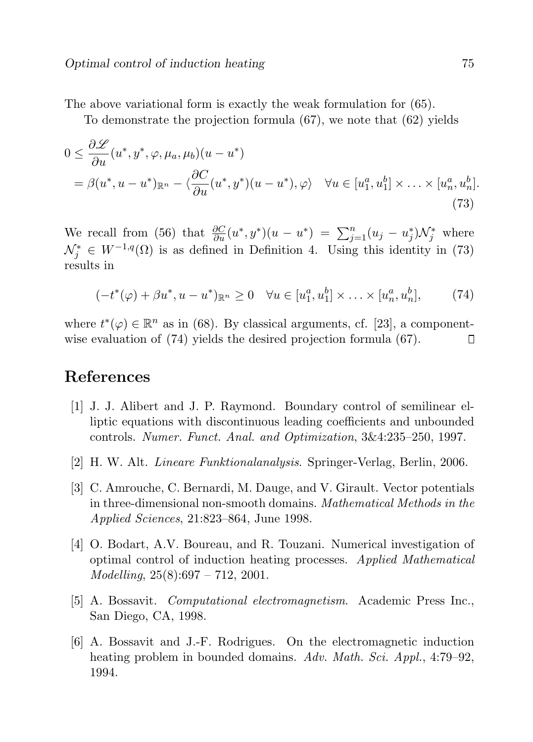The above variational form is exactly the weak formulation for (65).

To demonstrate the projection formula  $(67)$ , we note that  $(62)$  yields

$$
0 \leq \frac{\partial \mathcal{L}}{\partial u}(u^*, y^*, \varphi, \mu_a, \mu_b)(u - u^*)
$$
  
=  $\beta(u^*, u - u^*)_{\mathbb{R}^n} - \langle \frac{\partial C}{\partial u}(u^*, y^*)(u - u^*), \varphi \rangle \quad \forall u \in [u_1^a, u_1^b] \times \dots \times [u_n^a, u_n^b].$  (73)

We recall from (56) that  $\frac{\partial C}{\partial u}(u^*, y^*)(u - u^*) = \sum_{j=1}^n (u_j - u_j^*)\mathcal{N}_j^*$  where  $\mathcal{N}_j^* \in W^{-1,q}(\Omega)$  is as defined in Definition 4. Using this identity in (73) results in

$$
(-t^*(\varphi) + \beta u^*, u - u^*)_{\mathbb{R}^n} \ge 0 \quad \forall u \in [u_1^a, u_1^b] \times \ldots \times [u_n^a, u_n^b], \tag{74}
$$

where  $t^*(\varphi) \in \mathbb{R}^n$  as in (68). By classical arguments, cf. [23], a componentwise evaluation of (74) yields the desired projection formula (67). Ο

# References

- [1] J. J. Alibert and J. P. Raymond. Boundary control of semilinear elliptic equations with discontinuous leading coefficients and unbounded controls. Numer. Funct. Anal. and Optimization, 3&4:235–250, 1997.
- [2] H. W. Alt. Lineare Funktionalanalysis. Springer-Verlag, Berlin, 2006.
- [3] C. Amrouche, C. Bernardi, M. Dauge, and V. Girault. Vector potentials in three-dimensional non-smooth domains. Mathematical Methods in the Applied Sciences, 21:823–864, June 1998.
- [4] O. Bodart, A.V. Boureau, and R. Touzani. Numerical investigation of optimal control of induction heating processes. Applied Mathematical  $Modelling, 25(8):697 - 712, 2001.$
- [5] A. Bossavit. Computational electromagnetism. Academic Press Inc., San Diego, CA, 1998.
- [6] A. Bossavit and J.-F. Rodrigues. On the electromagnetic induction heating problem in bounded domains. Adv. Math. Sci. Appl., 4:79–92, 1994.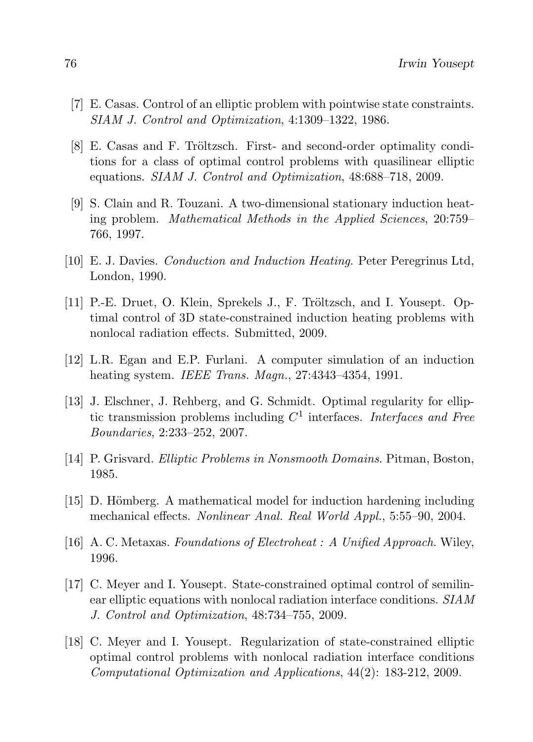- [7] E. Casas. Control of an elliptic problem with pointwise state constraints. SIAM J. Control and Optimization, 4:1309–1322, 1986.
- [8] E. Casas and F. Tröltzsch. First- and second-order optimality conditions for a class of optimal control problems with quasilinear elliptic equations. SIAM J. Control and Optimization, 48:688–718, 2009.
- [9] S. Clain and R. Touzani. A two-dimensional stationary induction heating problem. Mathematical Methods in the Applied Sciences, 20:759– 766, 1997.
- [10] E. J. Davies. Conduction and Induction Heating. Peter Peregrinus Ltd, London, 1990.
- [11] P.-E. Druet, O. Klein, Sprekels J., F. Tröltzsch, and I. Yousept. Optimal control of 3D state-constrained induction heating problems with nonlocal radiation effects. Submitted, 2009.
- [12] L.R. Egan and E.P. Furlani. A computer simulation of an induction heating system. IEEE Trans. Magn., 27:4343-4354, 1991.
- [13] J. Elschner, J. Rehberg, and G. Schmidt. Optimal regularity for elliptic transmission problems including  $C<sup>1</sup>$  interfaces. Interfaces and Free Boundaries, 2:233–252, 2007.
- [14] P. Grisvard. Elliptic Problems in Nonsmooth Domains. Pitman, Boston, 1985.
- $[15]$  D. Hömberg. A mathematical model for induction hardening including mechanical effects. Nonlinear Anal. Real World Appl., 5:55–90, 2004.
- [16] A. C. Metaxas. Foundations of Electroheat : A Unified Approach. Wiley, 1996.
- [17] C. Meyer and I. Yousept. State-constrained optimal control of semilinear elliptic equations with nonlocal radiation interface conditions. SIAM J. Control and Optimization, 48:734–755, 2009.
- [18] C. Meyer and I. Yousept. Regularization of state-constrained elliptic optimal control problems with nonlocal radiation interface conditions Computational Optimization and Applications, 44(2): 183-212, 2009.